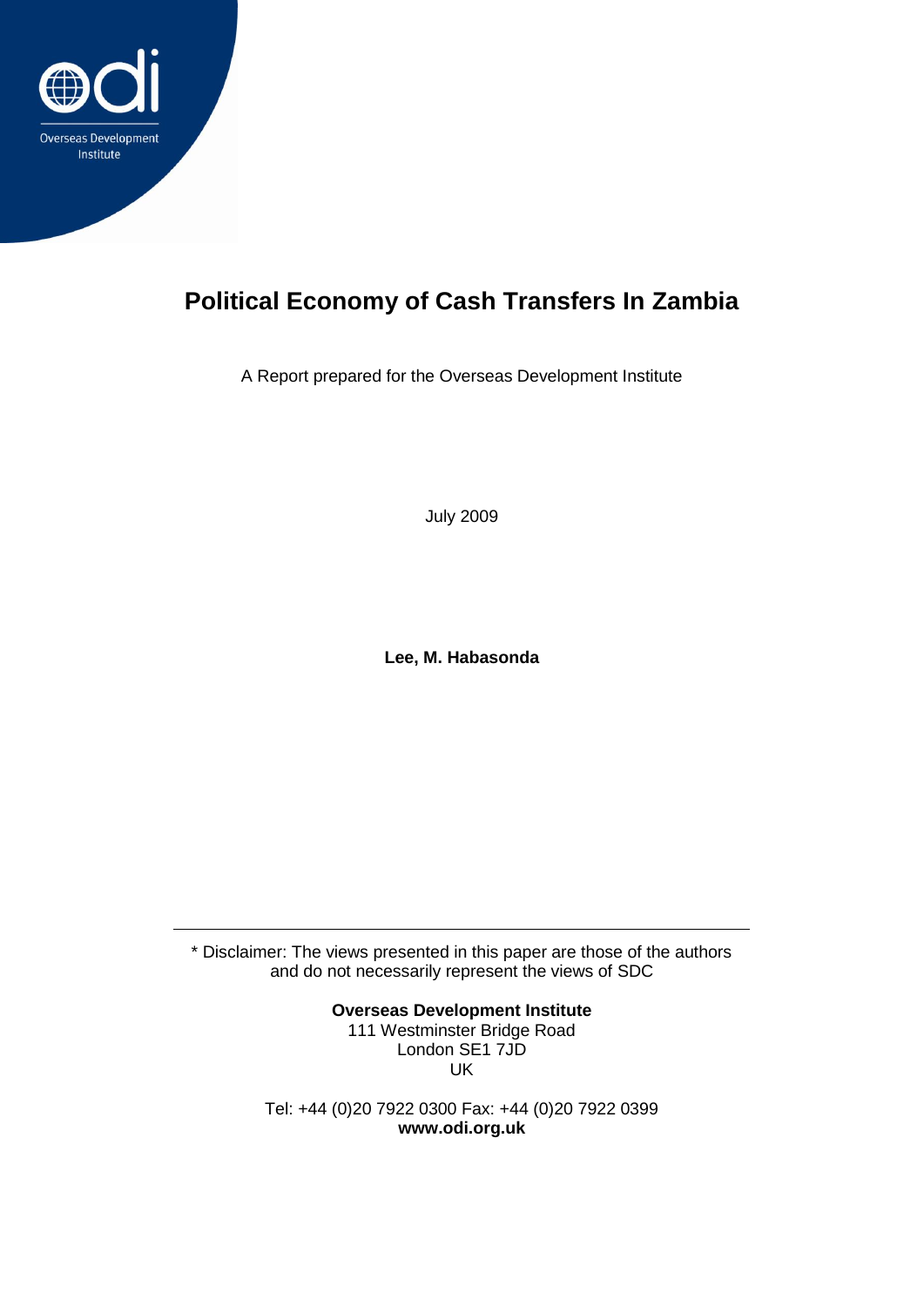

## **Political Economy of Cash Transfers In Zambia**

A Report prepared for the Overseas Development Institute

July 2009

**Lee, M. Habasonda**

\* Disclaimer: The views presented in this paper are those of the authors and do not necessarily represent the views of SDC

> **Overseas Development Institute** 111 Westminster Bridge Road London SE1 7JD UK

Tel: +44 (0)20 7922 0300 Fax: +44 (0)20 7922 0399 **www.odi.org.uk**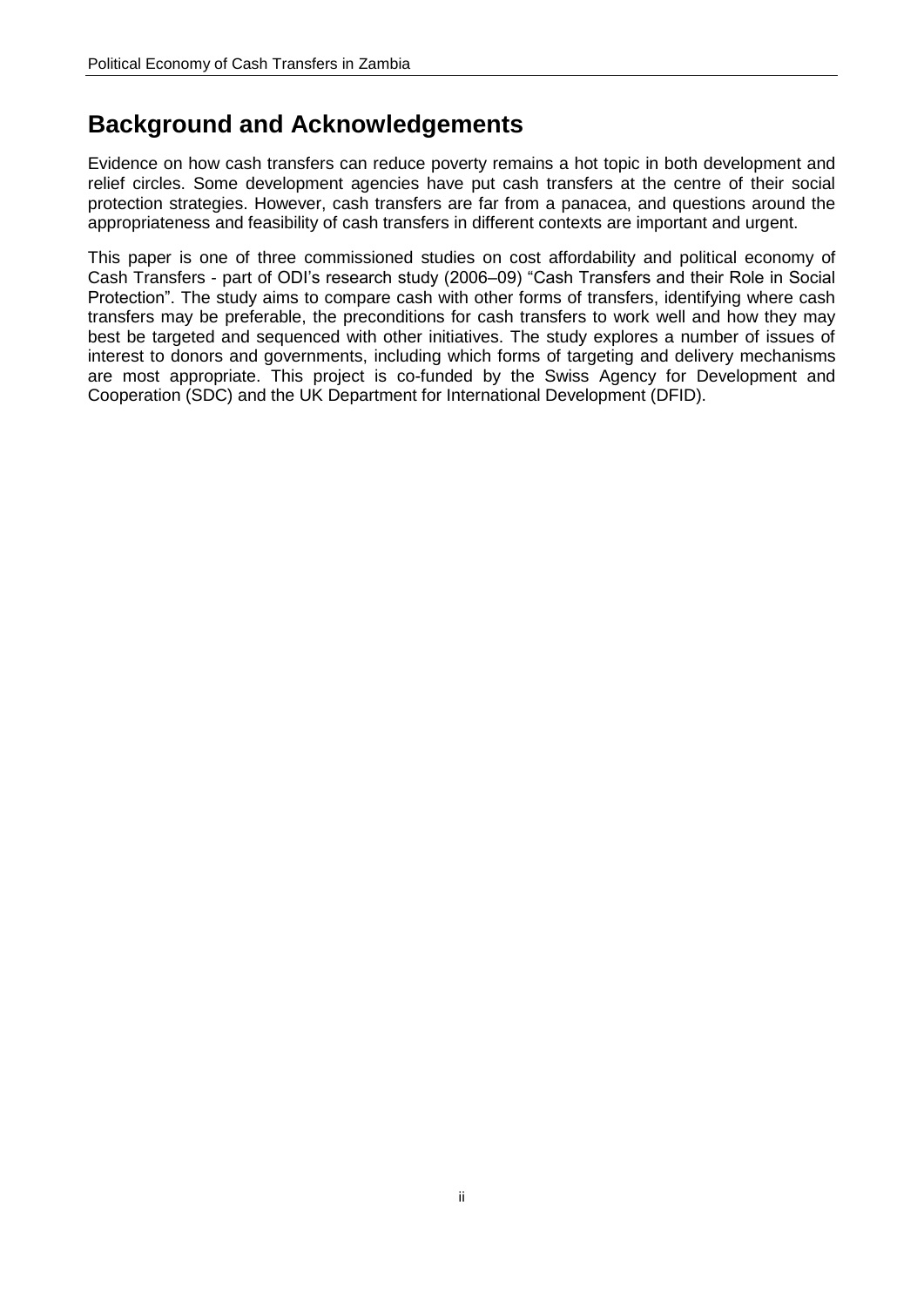### **Background and Acknowledgements**

Evidence on how cash transfers can reduce poverty remains a hot topic in both development and relief circles. Some development agencies have put cash transfers at the centre of their social protection strategies. However, cash transfers are far from a panacea, and questions around the appropriateness and feasibility of cash transfers in different contexts are important and urgent.

This paper is one of three commissioned studies on cost affordability and political economy of Cash Transfers - part of ODI's research study (2006–09) "Cash Transfers and their Role in Social Protection". The study aims to compare cash with other forms of transfers, identifying where cash transfers may be preferable, the preconditions for cash transfers to work well and how they may best be targeted and sequenced with other initiatives. The study explores a number of issues of interest to donors and governments, including which forms of targeting and delivery mechanisms are most appropriate. This project is co-funded by the Swiss Agency for Development and Cooperation (SDC) and the UK Department for International Development (DFID).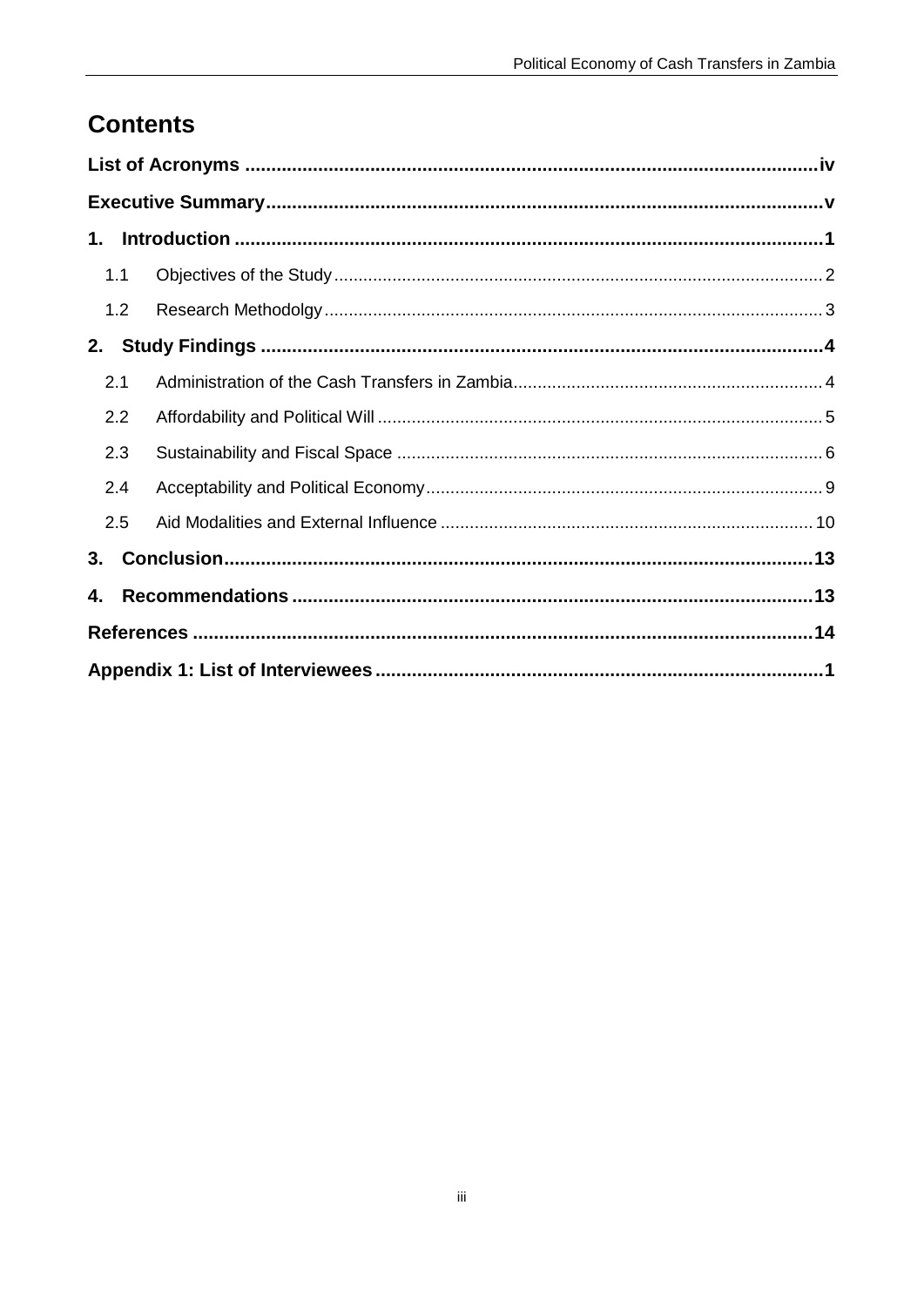## **Contents**

| 1.  |     |  |  |  |  |  |  |
|-----|-----|--|--|--|--|--|--|
| 1.1 |     |  |  |  |  |  |  |
|     | 1.2 |  |  |  |  |  |  |
| 2.  |     |  |  |  |  |  |  |
| 2.1 |     |  |  |  |  |  |  |
| 2.2 |     |  |  |  |  |  |  |
| 2.3 |     |  |  |  |  |  |  |
| 2.4 |     |  |  |  |  |  |  |
| 2.5 |     |  |  |  |  |  |  |
| 3.  |     |  |  |  |  |  |  |
| 4.  |     |  |  |  |  |  |  |
|     |     |  |  |  |  |  |  |
|     |     |  |  |  |  |  |  |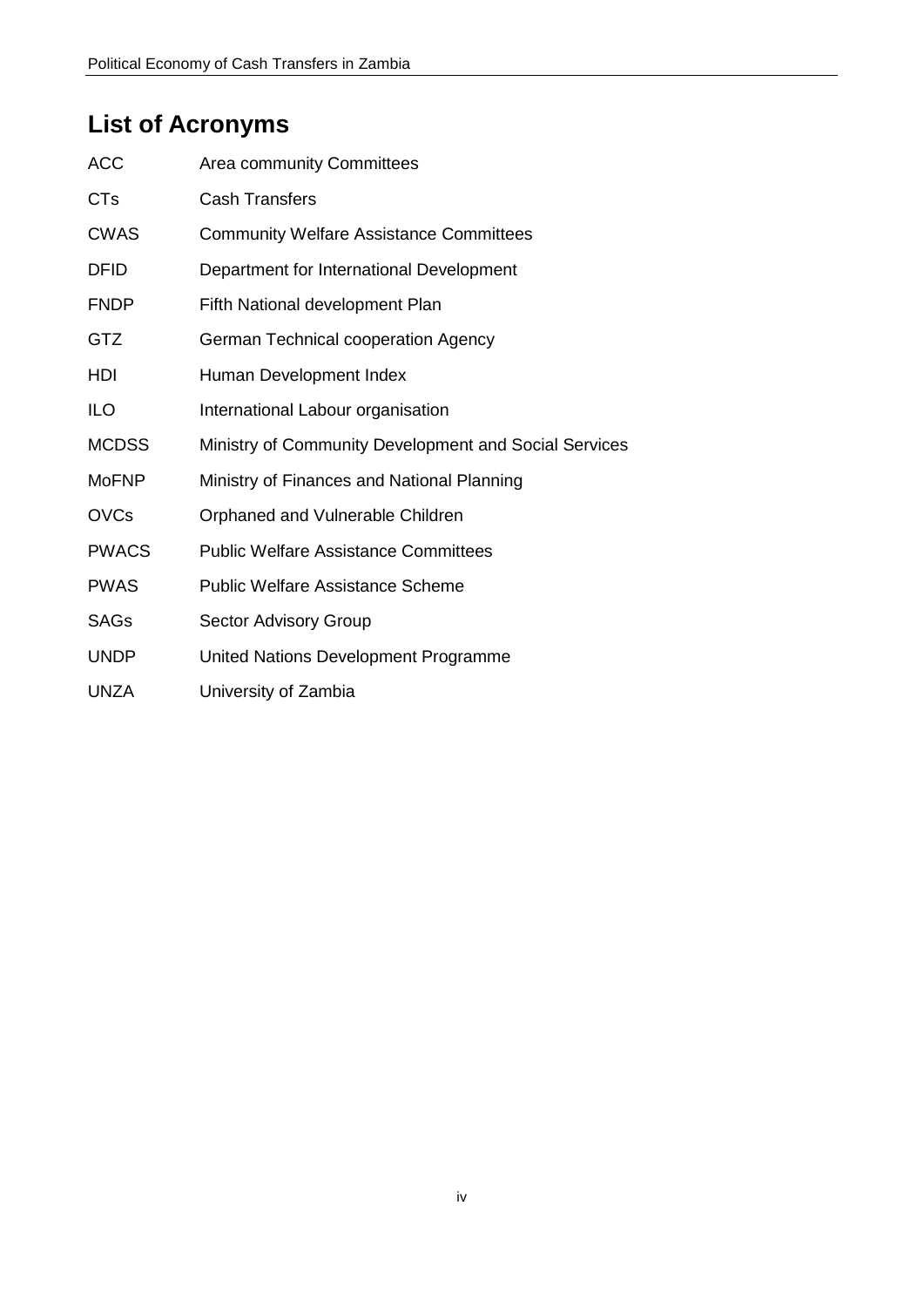## <span id="page-3-0"></span>**List of Acronyms**

| <b>ACC</b>   | <b>Area community Committees</b>                      |  |  |  |
|--------------|-------------------------------------------------------|--|--|--|
| <b>CTs</b>   | <b>Cash Transfers</b>                                 |  |  |  |
| <b>CWAS</b>  | <b>Community Welfare Assistance Committees</b>        |  |  |  |
| <b>DFID</b>  | Department for International Development              |  |  |  |
| <b>FNDP</b>  | Fifth National development Plan                       |  |  |  |
| <b>GTZ</b>   | German Technical cooperation Agency                   |  |  |  |
| HDI          | Human Development Index                               |  |  |  |
| <b>ILO</b>   | International Labour organisation                     |  |  |  |
| <b>MCDSS</b> | Ministry of Community Development and Social Services |  |  |  |
| <b>MoFNP</b> | Ministry of Finances and National Planning            |  |  |  |
| <b>OVCs</b>  | Orphaned and Vulnerable Children                      |  |  |  |
| <b>PWACS</b> | <b>Public Welfare Assistance Committees</b>           |  |  |  |
| <b>PWAS</b>  | <b>Public Welfare Assistance Scheme</b>               |  |  |  |
| <b>SAGs</b>  | <b>Sector Advisory Group</b>                          |  |  |  |
| <b>UNDP</b>  | United Nations Development Programme                  |  |  |  |
| <b>UNZA</b>  | University of Zambia                                  |  |  |  |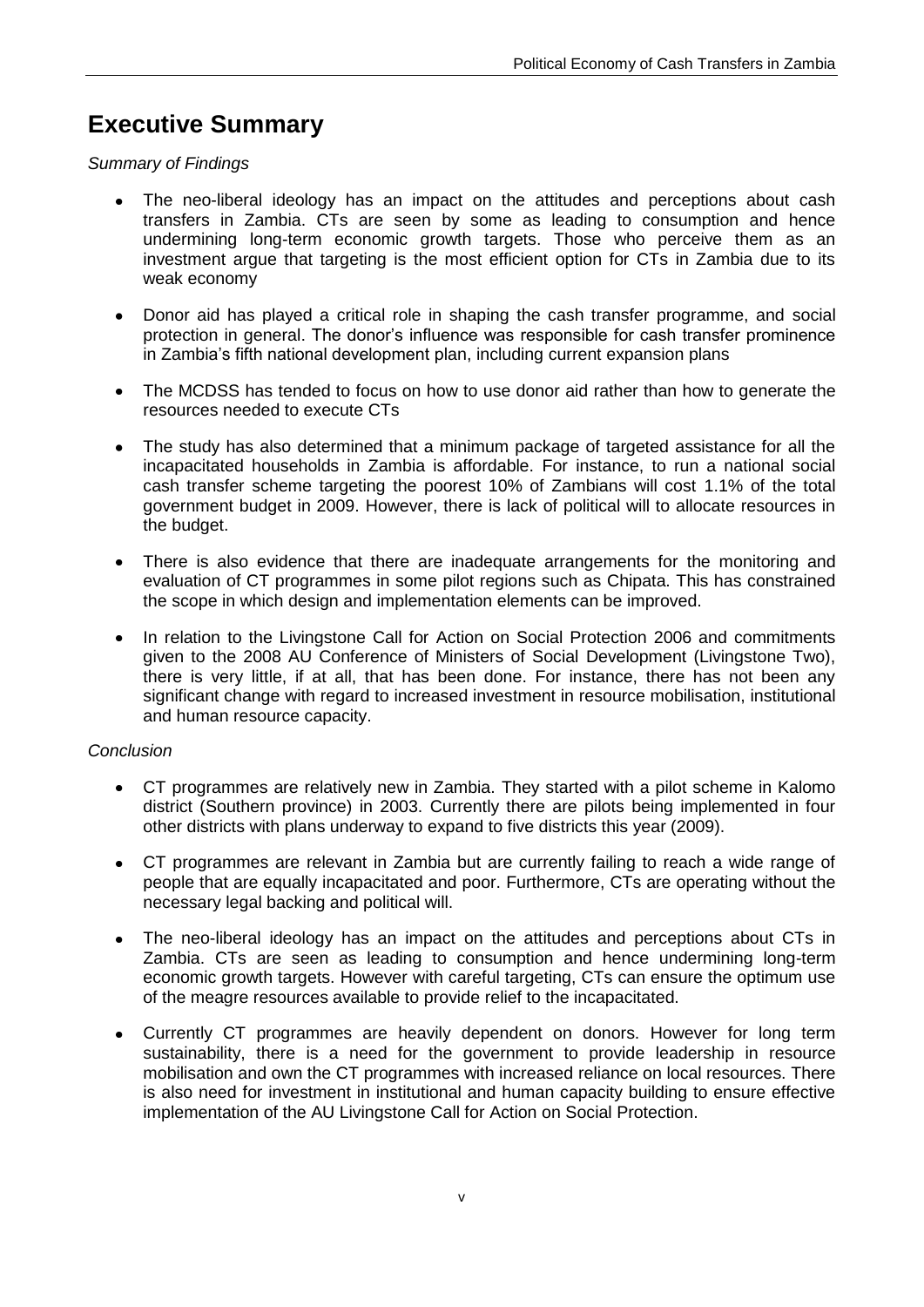## <span id="page-4-0"></span>**Executive Summary**

*Summary of Findings*

- The neo-liberal ideology has an impact on the attitudes and perceptions about cash  $\bullet$ transfers in Zambia. CTs are seen by some as leading to consumption and hence undermining long-term economic growth targets. Those who perceive them as an investment argue that targeting is the most efficient option for CTs in Zambia due to its weak economy
- Donor aid has played a critical role in shaping the cash transfer programme, and social  $\bullet$ protection in general. The donor's influence was responsible for cash transfer prominence in Zambia's fifth national development plan, including current expansion plans
- The MCDSS has tended to focus on how to use donor aid rather than how to generate the  $\bullet$ resources needed to execute CTs
- $\bullet$ The study has also determined that a minimum package of targeted assistance for all the incapacitated households in Zambia is affordable. For instance, to run a national social cash transfer scheme targeting the poorest 10% of Zambians will cost 1.1% of the total government budget in 2009. However, there is lack of political will to allocate resources in the budget.
- There is also evidence that there are inadequate arrangements for the monitoring and evaluation of CT programmes in some pilot regions such as Chipata. This has constrained the scope in which design and implementation elements can be improved.
- $\bullet$ In relation to the Livingstone Call for Action on Social Protection 2006 and commitments given to the 2008 AU Conference of Ministers of Social Development (Livingstone Two), there is very little, if at all, that has been done. For instance, there has not been any significant change with regard to increased investment in resource mobilisation, institutional and human resource capacity.

#### *Conclusion*

- CT programmes are relatively new in Zambia. They started with a pilot scheme in Kalomo  $\bullet$ district (Southern province) in 2003. Currently there are pilots being implemented in four other districts with plans underway to expand to five districts this year (2009).
- CT programmes are relevant in Zambia but are currently failing to reach a wide range of  $\bullet$ people that are equally incapacitated and poor. Furthermore, CTs are operating without the necessary legal backing and political will.
- The neo-liberal ideology has an impact on the attitudes and perceptions about CTs in Zambia. CTs are seen as leading to consumption and hence undermining long-term economic growth targets. However with careful targeting, CTs can ensure the optimum use of the meagre resources available to provide relief to the incapacitated.
- Currently CT programmes are heavily dependent on donors. However for long term  $\bullet$ sustainability, there is a need for the government to provide leadership in resource mobilisation and own the CT programmes with increased reliance on local resources. There is also need for investment in institutional and human capacity building to ensure effective implementation of the AU Livingstone Call for Action on Social Protection.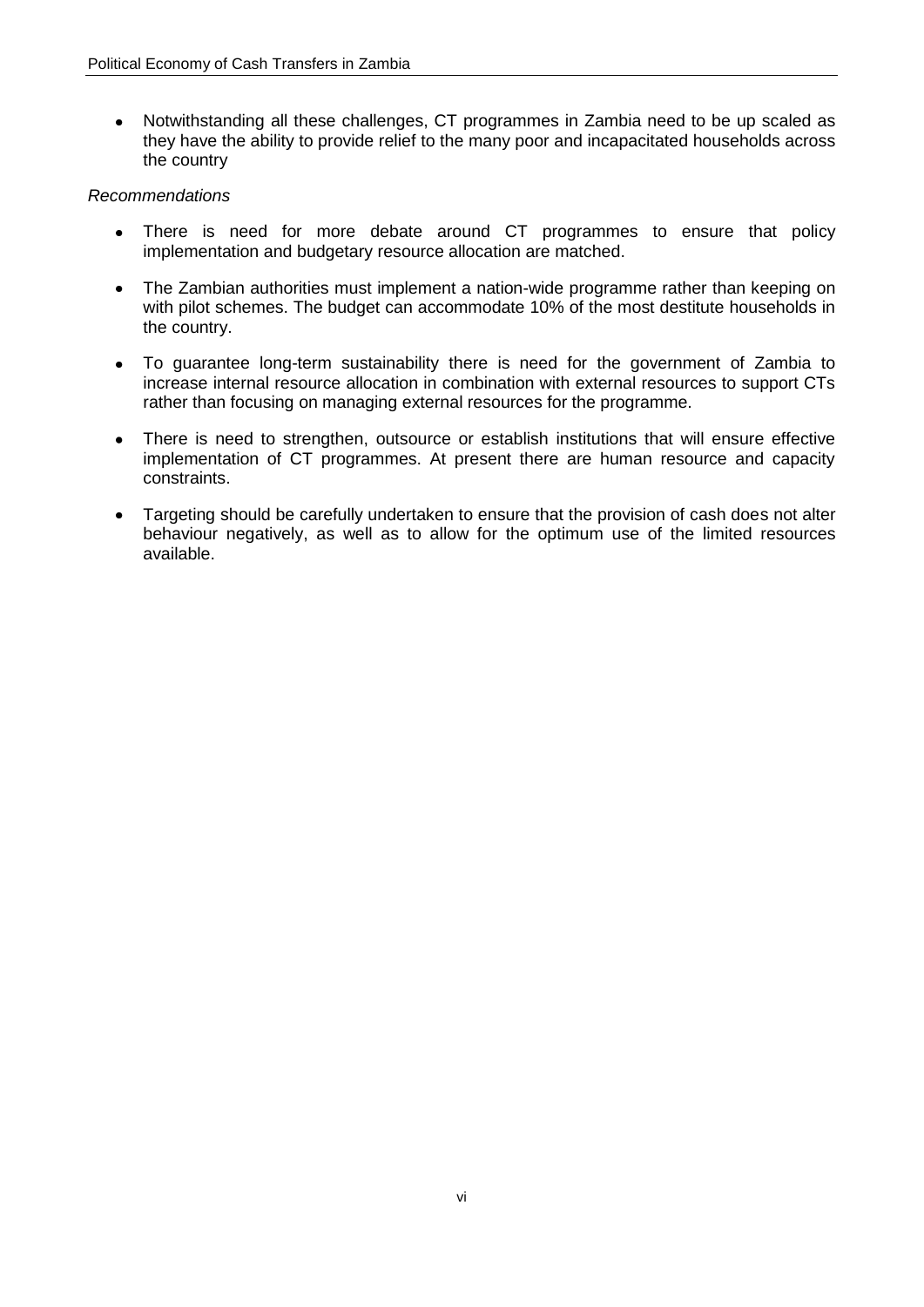$\bullet$ Notwithstanding all these challenges, CT programmes in Zambia need to be up scaled as they have the ability to provide relief to the many poor and incapacitated households across the country

#### *Recommendations*

- There is need for more debate around CT programmes to ensure that policy implementation and budgetary resource allocation are matched.
- $\bullet$ The Zambian authorities must implement a nation-wide programme rather than keeping on with pilot schemes. The budget can accommodate 10% of the most destitute households in the country.
- To guarantee long-term sustainability there is need for the government of Zambia to  $\bullet$ increase internal resource allocation in combination with external resources to support CTs rather than focusing on managing external resources for the programme.
- There is need to strengthen, outsource or establish institutions that will ensure effective  $\bullet$ implementation of CT programmes. At present there are human resource and capacity constraints.
- Targeting should be carefully undertaken to ensure that the provision of cash does not alter  $\bullet$ behaviour negatively, as well as to allow for the optimum use of the limited resources available.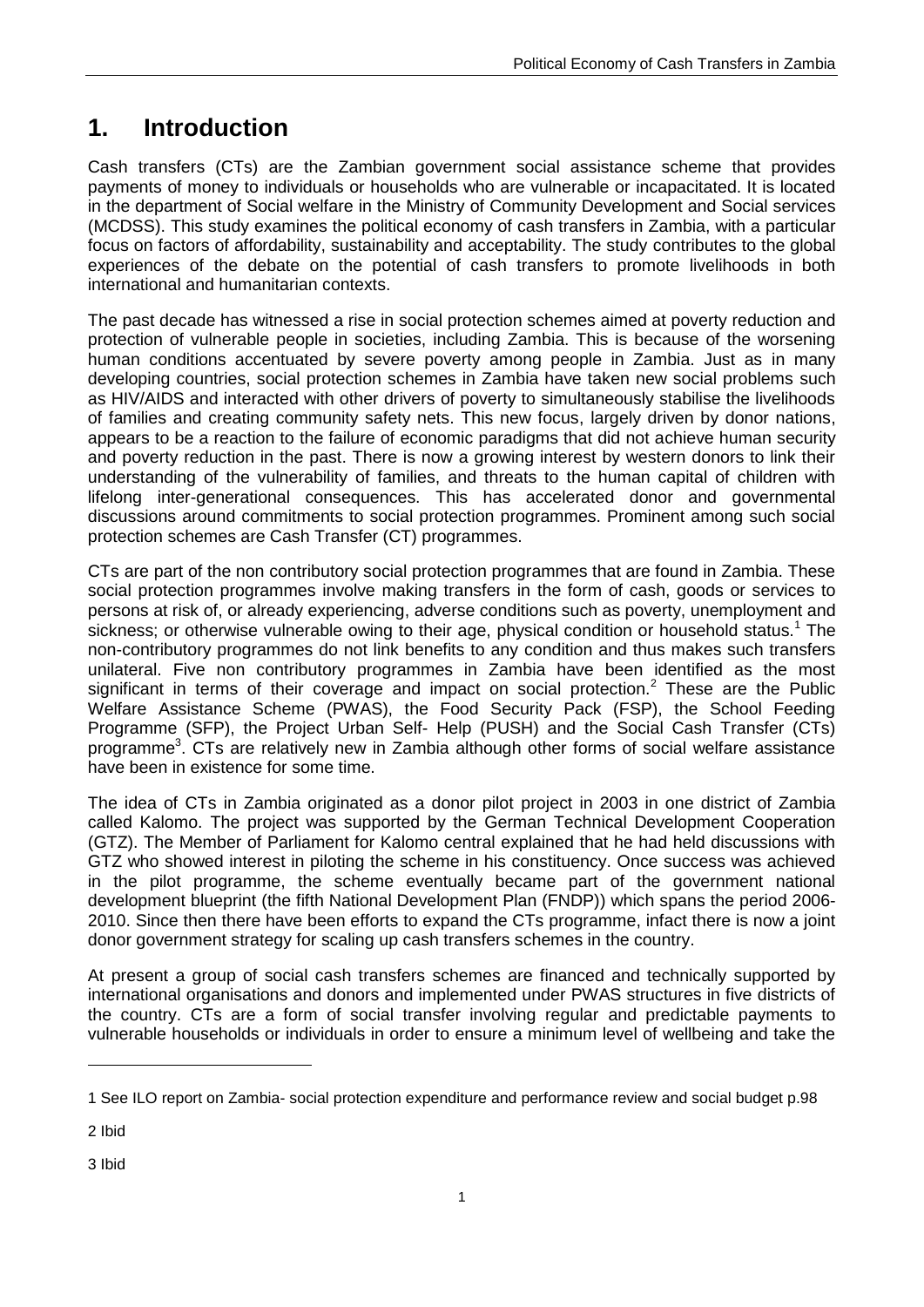## <span id="page-6-0"></span>**1. Introduction**

Cash transfers (CTs) are the Zambian government social assistance scheme that provides payments of money to individuals or households who are vulnerable or incapacitated. It is located in the department of Social welfare in the Ministry of Community Development and Social services (MCDSS). This study examines the political economy of cash transfers in Zambia, with a particular focus on factors of affordability, sustainability and acceptability. The study contributes to the global experiences of the debate on the potential of cash transfers to promote livelihoods in both international and humanitarian contexts.

The past decade has witnessed a rise in social protection schemes aimed at poverty reduction and protection of vulnerable people in societies, including Zambia. This is because of the worsening human conditions accentuated by severe poverty among people in Zambia. Just as in many developing countries, social protection schemes in Zambia have taken new social problems such as HIV/AIDS and interacted with other drivers of poverty to simultaneously stabilise the livelihoods of families and creating community safety nets. This new focus, largely driven by donor nations, appears to be a reaction to the failure of economic paradigms that did not achieve human security and poverty reduction in the past. There is now a growing interest by western donors to link their understanding of the vulnerability of families, and threats to the human capital of children with lifelong inter-generational consequences. This has accelerated donor and governmental discussions around commitments to social protection programmes. Prominent among such social protection schemes are Cash Transfer (CT) programmes.

CTs are part of the non contributory social protection programmes that are found in Zambia. These social protection programmes involve making transfers in the form of cash, goods or services to persons at risk of, or already experiencing, adverse conditions such as poverty, unemployment and sickness; or otherwise vulnerable owing to their age, physical condition or household status.<sup>1</sup> The non-contributory programmes do not link benefits to any condition and thus makes such transfers unilateral. Five non contributory programmes in Zambia have been identified as the most significant in terms of their coverage and impact on social protection.<sup>2</sup> These are the Public Welfare Assistance Scheme (PWAS), the Food Security Pack (FSP), the School Feeding Programme (SFP), the Project Urban Self- Help (PUSH) and the Social Cash Transfer (CTs) programme<sup>3</sup>. CTs are relatively new in Zambia although other forms of social welfare assistance have been in existence for some time.

The idea of CTs in Zambia originated as a donor pilot project in 2003 in one district of Zambia called Kalomo. The project was supported by the German Technical Development Cooperation (GTZ). The Member of Parliament for Kalomo central explained that he had held discussions with GTZ who showed interest in piloting the scheme in his constituency. Once success was achieved in the pilot programme, the scheme eventually became part of the government national development blueprint (the fifth National Development Plan (FNDP)) which spans the period 2006- 2010. Since then there have been efforts to expand the CTs programme, infact there is now a joint donor government strategy for scaling up cash transfers schemes in the country.

At present a group of social cash transfers schemes are financed and technically supported by international organisations and donors and implemented under PWAS structures in five districts of the country. CTs are a form of social transfer involving regular and predictable payments to vulnerable households or individuals in order to ensure a minimum level of wellbeing and take the

2 Ibid

-

3 Ibid

<sup>1</sup> See ILO report on Zambia- social protection expenditure and performance review and social budget p.98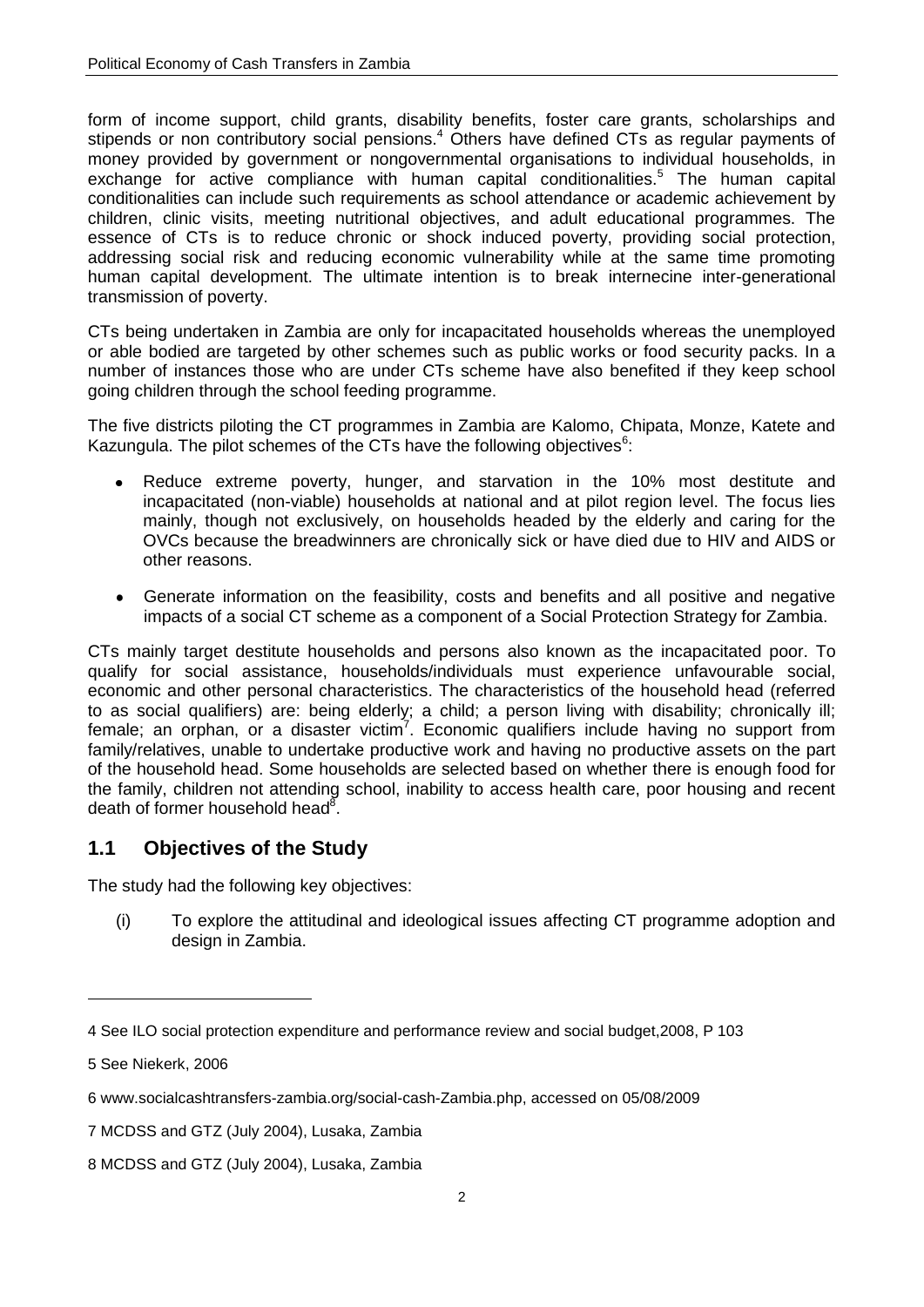form of income support, child grants, disability benefits, foster care grants, scholarships and stipends or non contributory social pensions.<sup>4</sup> Others have defined CTs as regular payments of money provided by government or nongovernmental organisations to individual households, in exchange for active compliance with human capital conditionalities.<sup>5</sup> The human capital conditionalities can include such requirements as school attendance or academic achievement by children, clinic visits, meeting nutritional objectives, and adult educational programmes. The essence of CTs is to reduce chronic or shock induced poverty, providing social protection, addressing social risk and reducing economic vulnerability while at the same time promoting human capital development. The ultimate intention is to break internecine inter-generational transmission of poverty.

CTs being undertaken in Zambia are only for incapacitated households whereas the unemployed or able bodied are targeted by other schemes such as public works or food security packs. In a number of instances those who are under CTs scheme have also benefited if they keep school going children through the school feeding programme.

The five districts piloting the CT programmes in Zambia are Kalomo, Chipata, Monze, Katete and Kazungula. The pilot schemes of the CTs have the following objectives $6$ :

- Reduce extreme poverty, hunger, and starvation in the 10% most destitute and incapacitated (non-viable) households at national and at pilot region level. The focus lies mainly, though not exclusively, on households headed by the elderly and caring for the OVCs because the breadwinners are chronically sick or have died due to HIV and AIDS or other reasons.
- $\bullet$ Generate information on the feasibility, costs and benefits and all positive and negative impacts of a social CT scheme as a component of a Social Protection Strategy for Zambia.

CTs mainly target destitute households and persons also known as the incapacitated poor. To qualify for social assistance, households/individuals must experience unfavourable social, economic and other personal characteristics. The characteristics of the household head (referred to as social qualifiers) are: being elderly; a child; a person living with disability; chronically ill; female; an orphan, or a disaster victim<sup>7</sup>. Economic qualifiers include having no support from family/relatives, unable to undertake productive work and having no productive assets on the part of the household head. Some households are selected based on whether there is enough food for the family, children not attending school, inability to access health care, poor housing and recent death of former household head<sup>8</sup>.

#### <span id="page-7-0"></span>**1.1 Objectives of the Study**

The study had the following key objectives:

(i) To explore the attitudinal and ideological issues affecting CT programme adoption and design in Zambia.

<sup>4</sup> See ILO social protection expenditure and performance review and social budget,2008, P 103

<sup>5</sup> See Niekerk, 2006

<sup>6</sup> [www.socialcashtransfers-zambia.org/social-cash-Zambia.php,](http://www.socialcashtransfers-zambia.org/social-cash-Zambia.php) accessed on 05/08/2009

<sup>7</sup> MCDSS and GTZ (July 2004), Lusaka, Zambia

<sup>8</sup> MCDSS and GTZ (July 2004), Lusaka, Zambia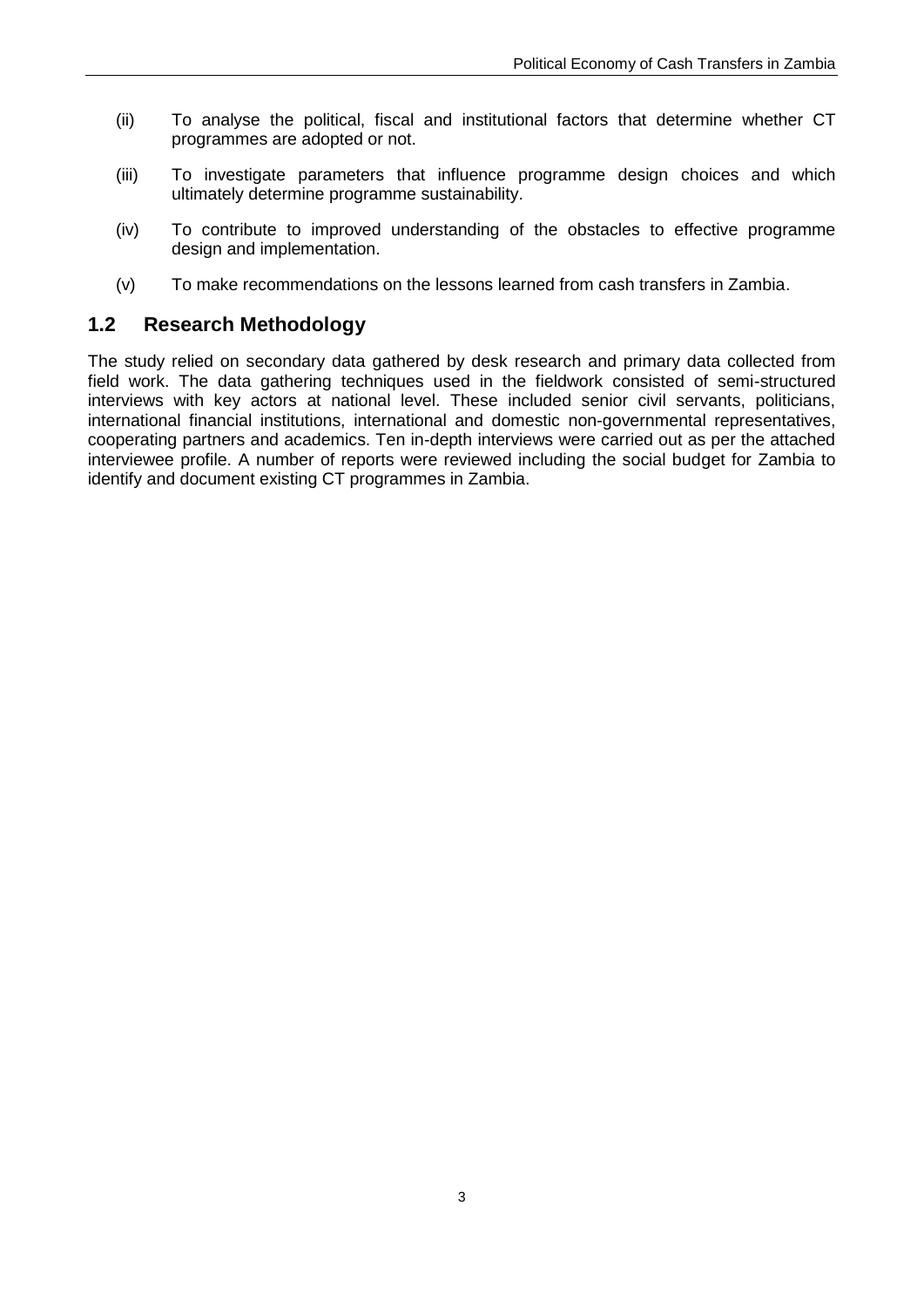- (ii) To analyse the political, fiscal and institutional factors that determine whether CT programmes are adopted or not.
- (iii) To investigate parameters that influence programme design choices and which ultimately determine programme sustainability.
- (iv) To contribute to improved understanding of the obstacles to effective programme design and implementation.
- (v) To make recommendations on the lessons learned from cash transfers in Zambia.

#### <span id="page-8-0"></span>**1.2 Research Methodology**

The study relied on secondary data gathered by desk research and primary data collected from field work. The data gathering techniques used in the fieldwork consisted of semi-structured interviews with key actors at national level. These included senior civil servants, politicians, international financial institutions, international and domestic non-governmental representatives, cooperating partners and academics. Ten in-depth interviews were carried out as per the attached interviewee profile. A number of reports were reviewed including the social budget for Zambia to identify and document existing CT programmes in Zambia.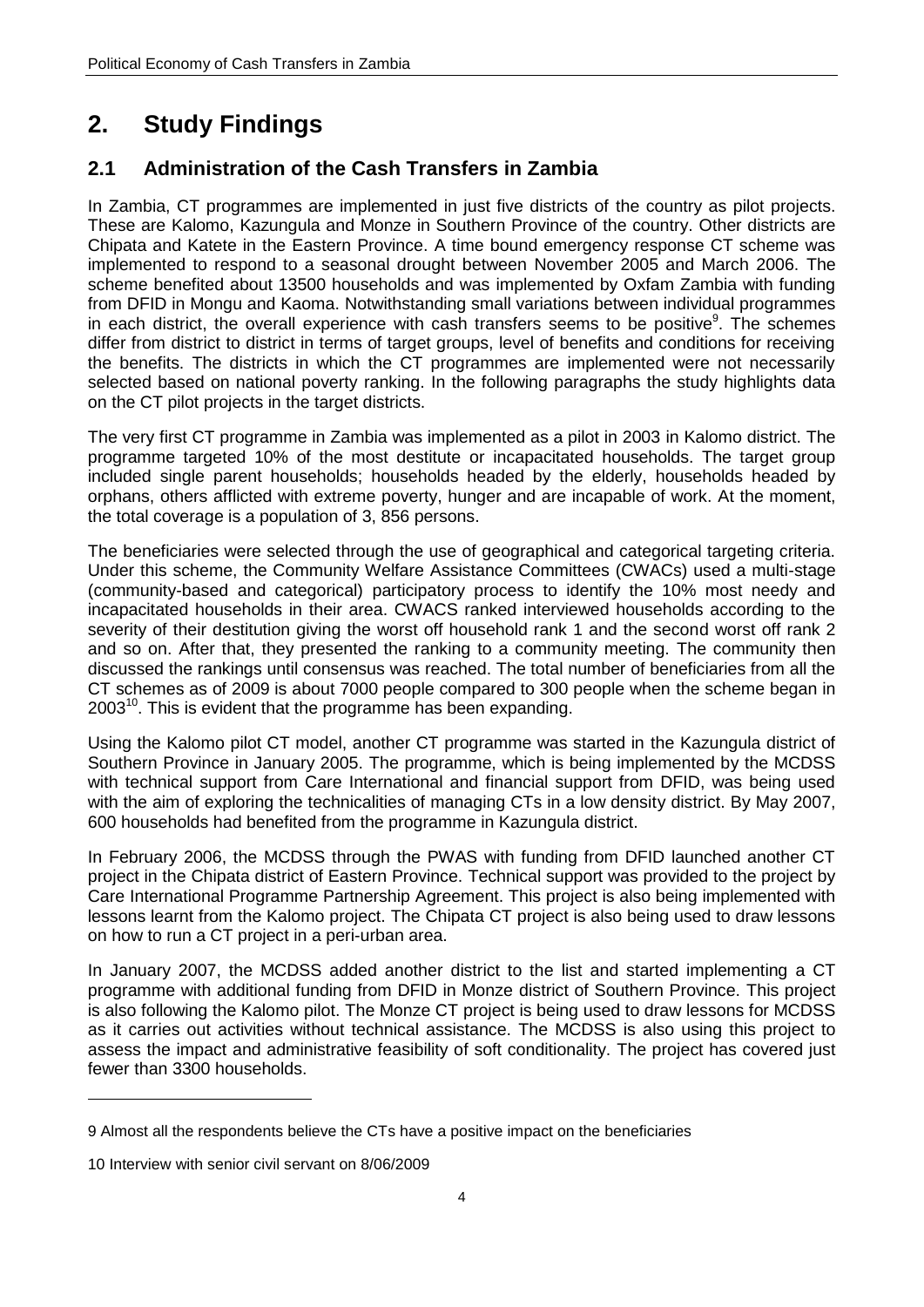## <span id="page-9-0"></span>**2. Study Findings**

#### <span id="page-9-1"></span>**2.1 Administration of the Cash Transfers in Zambia**

In Zambia, CT programmes are implemented in just five districts of the country as pilot projects. These are Kalomo, Kazungula and Monze in Southern Province of the country. Other districts are Chipata and Katete in the Eastern Province. A time bound emergency response CT scheme was implemented to respond to a seasonal drought between November 2005 and March 2006. The scheme benefited about 13500 households and was implemented by Oxfam Zambia with funding from DFID in Mongu and Kaoma. Notwithstanding small variations between individual programmes in each district, the overall experience with cash transfers seems to be positive<sup>9</sup>. The schemes differ from district to district in terms of target groups, level of benefits and conditions for receiving the benefits. The districts in which the CT programmes are implemented were not necessarily selected based on national poverty ranking. In the following paragraphs the study highlights data on the CT pilot projects in the target districts.

The very first CT programme in Zambia was implemented as a pilot in 2003 in Kalomo district. The programme targeted 10% of the most destitute or incapacitated households. The target group included single parent households; households headed by the elderly, households headed by orphans, others afflicted with extreme poverty, hunger and are incapable of work. At the moment, the total coverage is a population of 3, 856 persons.

The beneficiaries were selected through the use of geographical and categorical targeting criteria. Under this scheme, the Community Welfare Assistance Committees (CWACs) used a multi-stage (community-based and categorical) participatory process to identify the 10% most needy and incapacitated households in their area. CWACS ranked interviewed households according to the severity of their destitution giving the worst off household rank 1 and the second worst off rank 2 and so on. After that, they presented the ranking to a community meeting. The community then discussed the rankings until consensus was reached. The total number of beneficiaries from all the CT schemes as of 2009 is about 7000 people compared to 300 people when the scheme began in  $2003<sup>10</sup>$ . This is evident that the programme has been expanding.

Using the Kalomo pilot CT model, another CT programme was started in the Kazungula district of Southern Province in January 2005. The programme, which is being implemented by the MCDSS with technical support from Care International and financial support from DFID, was being used with the aim of exploring the technicalities of managing CTs in a low density district. By May 2007, 600 households had benefited from the programme in Kazungula district.

In February 2006, the MCDSS through the PWAS with funding from DFID launched another CT project in the Chipata district of Eastern Province. Technical support was provided to the project by Care International Programme Partnership Agreement. This project is also being implemented with lessons learnt from the Kalomo project. The Chipata CT project is also being used to draw lessons on how to run a CT project in a peri-urban area.

In January 2007, the MCDSS added another district to the list and started implementing a CT programme with additional funding from DFID in Monze district of Southern Province. This project is also following the Kalomo pilot. The Monze CT project is being used to draw lessons for MCDSS as it carries out activities without technical assistance. The MCDSS is also using this project to assess the impact and administrative feasibility of soft conditionality. The project has covered just fewer than 3300 households.

<sup>9</sup> Almost all the respondents believe the CTs have a positive impact on the beneficiaries

<sup>10</sup> Interview with senior civil servant on 8/06/2009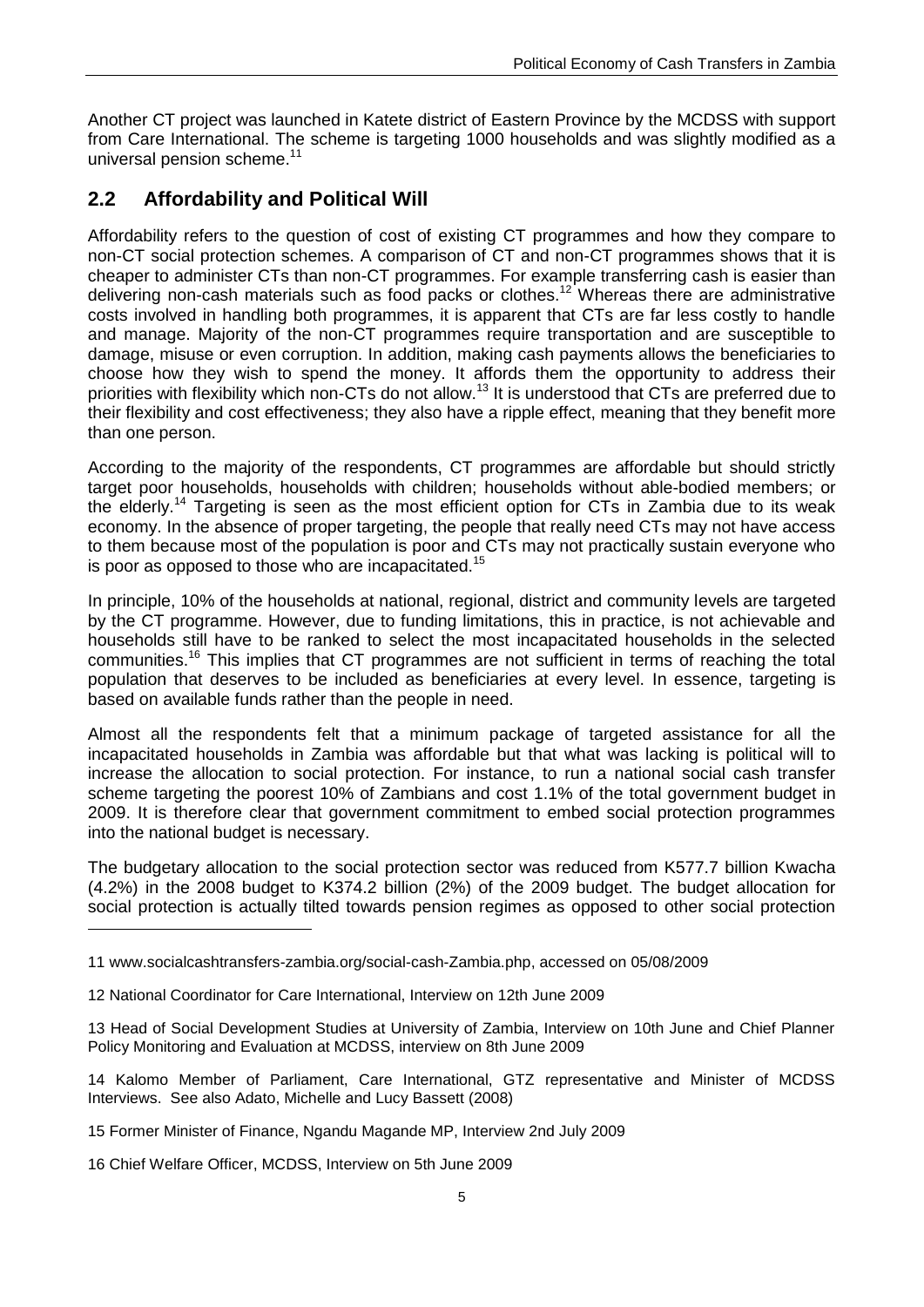Another CT project was launched in Katete district of Eastern Province by the MCDSS with support from Care International. The scheme is targeting 1000 households and was slightly modified as a universal pension scheme.<sup>11</sup>

### <span id="page-10-0"></span>**2.2 Affordability and Political Will**

Affordability refers to the question of cost of existing CT programmes and how they compare to non-CT social protection schemes. A comparison of CT and non-CT programmes shows that it is cheaper to administer CTs than non-CT programmes. For example transferring cash is easier than delivering non-cash materials such as food packs or clothes.<sup>12</sup> Whereas there are administrative costs involved in handling both programmes, it is apparent that CTs are far less costly to handle and manage. Majority of the non-CT programmes require transportation and are susceptible to damage, misuse or even corruption. In addition, making cash payments allows the beneficiaries to choose how they wish to spend the money. It affords them the opportunity to address their priorities with flexibility which non-CTs do not allow.<sup>13</sup> It is understood that CTs are preferred due to their flexibility and cost effectiveness; they also have a ripple effect, meaning that they benefit more than one person.

According to the majority of the respondents, CT programmes are affordable but should strictly target poor households, households with children; households without able-bodied members; or the elderly.<sup>14</sup> Targeting is seen as the most efficient option for CTs in Zambia due to its weak economy. In the absence of proper targeting, the people that really need CTs may not have access to them because most of the population is poor and CTs may not practically sustain everyone who is poor as opposed to those who are incapacitated.<sup>15</sup>

In principle, 10% of the households at national, regional, district and community levels are targeted by the CT programme. However, due to funding limitations, this in practice, is not achievable and households still have to be ranked to select the most incapacitated households in the selected communities.<sup>16</sup> This implies that CT programmes are not sufficient in terms of reaching the total population that deserves to be included as beneficiaries at every level. In essence, targeting is based on available funds rather than the people in need.

Almost all the respondents felt that a minimum package of targeted assistance for all the incapacitated households in Zambia was affordable but that what was lacking is political will to increase the allocation to social protection. For instance, to run a national social cash transfer scheme targeting the poorest 10% of Zambians and cost 1.1% of the total government budget in 2009. It is therefore clear that government commitment to embed social protection programmes into the national budget is necessary.

The budgetary allocation to the social protection sector was reduced from K577.7 billion Kwacha (4.2%) in the 2008 budget to K374.2 billion (2%) of the 2009 budget. The budget allocation for social protection is actually tilted towards pension regimes as opposed to other social protection -

12 National Coordinator for Care International, Interview on 12th June 2009

13 Head of Social Development Studies at University of Zambia, Interview on 10th June and Chief Planner Policy Monitoring and Evaluation at MCDSS, interview on 8th June 2009

14 Kalomo Member of Parliament, Care International, GTZ representative and Minister of MCDSS Interviews. See also Adato, Michelle and Lucy Bassett (2008)

- 15 Former Minister of Finance, Ngandu Magande MP, Interview 2nd July 2009
- 16 Chief Welfare Officer, MCDSS, Interview on 5th June 2009

<sup>11</sup> [www.socialcashtransfers-zambia.org/social-cash-Zambia.php,](http://www.socialcashtransfers-zambia.org/social-cash-Zambia.php) accessed on 05/08/2009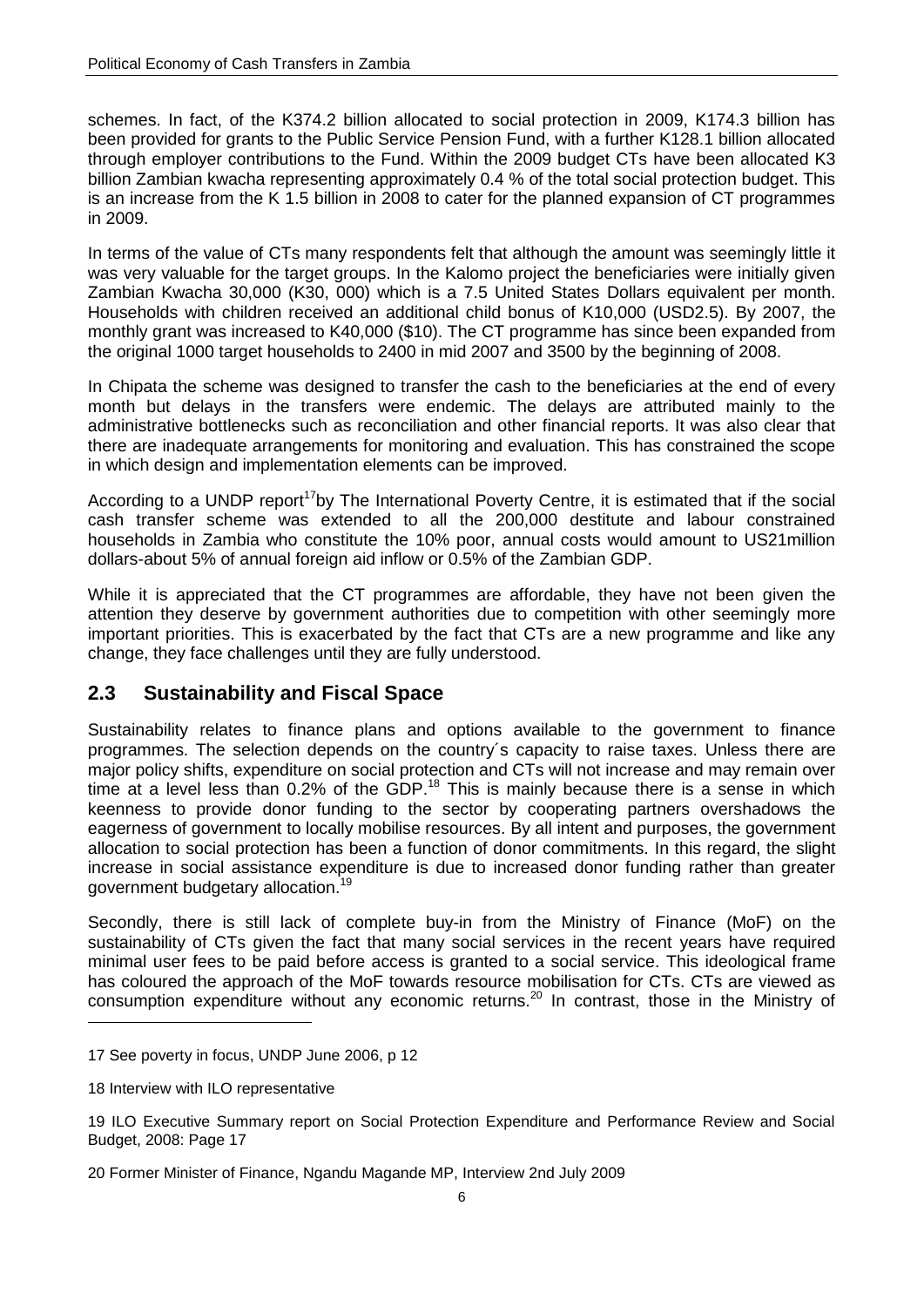schemes. In fact, of the K374.2 billion allocated to social protection in 2009, K174.3 billion has been provided for grants to the Public Service Pension Fund, with a further K128.1 billion allocated through employer contributions to the Fund. Within the 2009 budget CTs have been allocated K3 billion Zambian kwacha representing approximately 0.4 % of the total social protection budget. This is an increase from the K 1.5 billion in 2008 to cater for the planned expansion of CT programmes in 2009.

In terms of the value of CTs many respondents felt that although the amount was seemingly little it was very valuable for the target groups. In the Kalomo project the beneficiaries were initially given Zambian Kwacha 30,000 (K30, 000) which is a 7.5 United States Dollars equivalent per month. Households with children received an additional child bonus of K10,000 (USD2.5). By 2007, the monthly grant was increased to K40,000 (\$10). The CT programme has since been expanded from the original 1000 target households to 2400 in mid 2007 and 3500 by the beginning of 2008.

In Chipata the scheme was designed to transfer the cash to the beneficiaries at the end of every month but delays in the transfers were endemic. The delays are attributed mainly to the administrative bottlenecks such as reconciliation and other financial reports. It was also clear that there are inadequate arrangements for monitoring and evaluation. This has constrained the scope in which design and implementation elements can be improved.

According to a UNDP report<sup>17</sup>by The International Poverty Centre, it is estimated that if the social cash transfer scheme was extended to all the 200,000 destitute and labour constrained households in Zambia who constitute the 10% poor, annual costs would amount to US21million dollars-about 5% of annual foreign aid inflow or 0.5% of the Zambian GDP.

While it is appreciated that the CT programmes are affordable, they have not been given the attention they deserve by government authorities due to competition with other seemingly more important priorities. This is exacerbated by the fact that CTs are a new programme and like any change, they face challenges until they are fully understood.

### <span id="page-11-0"></span>**2.3 Sustainability and Fiscal Space**

Sustainability relates to finance plans and options available to the government to finance programmes. The selection depends on the country´s capacity to raise taxes. Unless there are major policy shifts, expenditure on social protection and CTs will not increase and may remain over time at a level less than  $0.2\%$  of the GDP.<sup>18</sup> This is mainly because there is a sense in which keenness to provide donor funding to the sector by cooperating partners overshadows the eagerness of government to locally mobilise resources. By all intent and purposes, the government allocation to social protection has been a function of donor commitments. In this regard, the slight increase in social assistance expenditure is due to increased donor funding rather than greater government budgetary allocation.<sup>19</sup>

Secondly, there is still lack of complete buy-in from the Ministry of Finance (MoF) on the sustainability of CTs given the fact that many social services in the recent years have required minimal user fees to be paid before access is granted to a social service. This ideological frame has coloured the approach of the MoF towards resource mobilisation for CTs. CTs are viewed as consumption expenditure without any economic returns.<sup>20</sup> In contrast, those in the Ministry of

<sup>17</sup> See poverty in focus, UNDP June 2006, p 12

<sup>18</sup> Interview with ILO representative

<sup>19</sup> ILO Executive Summary report on Social Protection Expenditure and Performance Review and Social Budget, 2008: Page 17

<sup>20</sup> Former Minister of Finance, Ngandu Magande MP, Interview 2nd July 2009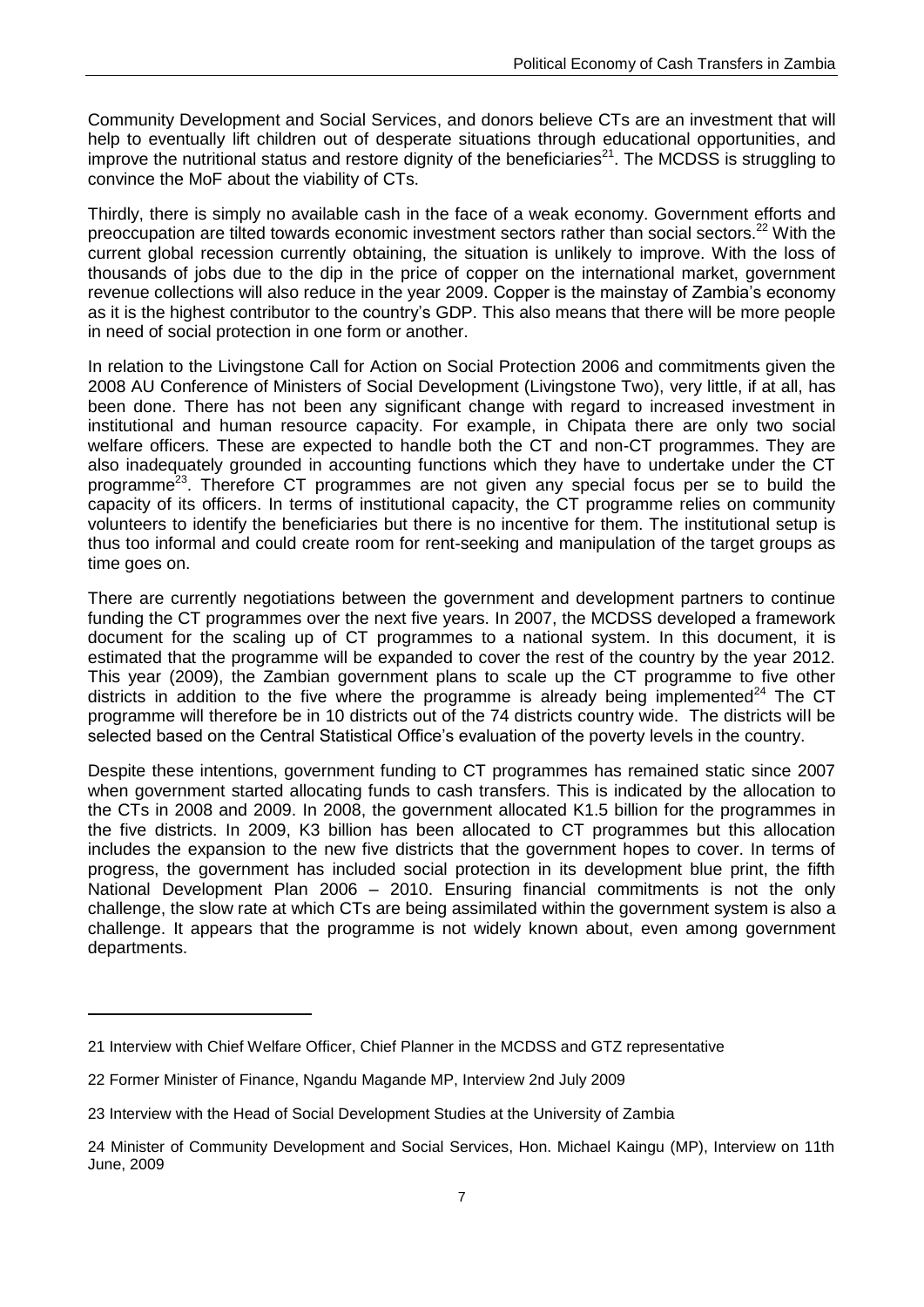Community Development and Social Services, and donors believe CTs are an investment that will help to eventually lift children out of desperate situations through educational opportunities, and improve the nutritional status and restore dignity of the beneficiaries<sup>21</sup>. The MCDSS is struggling to convince the MoF about the viability of CTs.

Thirdly, there is simply no available cash in the face of a weak economy. Government efforts and preoccupation are tilted towards economic investment sectors rather than social sectors.<sup>22</sup> With the current global recession currently obtaining, the situation is unlikely to improve. With the loss of thousands of jobs due to the dip in the price of copper on the international market, government revenue collections will also reduce in the year 2009. Copper is the mainstay of Zambia's economy as it is the highest contributor to the country's GDP. This also means that there will be more people in need of social protection in one form or another.

In relation to the Livingstone Call for Action on Social Protection 2006 and commitments given the 2008 AU Conference of Ministers of Social Development (Livingstone Two), very little, if at all, has been done. There has not been any significant change with regard to increased investment in institutional and human resource capacity. For example, in Chipata there are only two social welfare officers. These are expected to handle both the CT and non-CT programmes. They are also inadequately grounded in accounting functions which they have to undertake under the CT programme<sup>23</sup>. Therefore CT programmes are not given any special focus per se to build the capacity of its officers. In terms of institutional capacity, the CT programme relies on community volunteers to identify the beneficiaries but there is no incentive for them. The institutional setup is thus too informal and could create room for rent-seeking and manipulation of the target groups as time goes on.

There are currently negotiations between the government and development partners to continue funding the CT programmes over the next five years. In 2007, the MCDSS developed a framework document for the scaling up of CT programmes to a national system. In this document, it is estimated that the programme will be expanded to cover the rest of the country by the year 2012. This year (2009), the Zambian government plans to scale up the CT programme to five other districts in addition to the five where the programme is already being implemented<sup>24</sup> The CT programme will therefore be in 10 districts out of the 74 districts country wide. The districts will be selected based on the Central Statistical Office's evaluation of the poverty levels in the country.

Despite these intentions, government funding to CT programmes has remained static since 2007 when government started allocating funds to cash transfers. This is indicated by the allocation to the CTs in 2008 and 2009. In 2008, the government allocated K1.5 billion for the programmes in the five districts. In 2009, K3 billion has been allocated to CT programmes but this allocation includes the expansion to the new five districts that the government hopes to cover. In terms of progress, the government has included social protection in its development blue print, the fifth National Development Plan 2006 – 2010. Ensuring financial commitments is not the only challenge, the slow rate at which CTs are being assimilated within the government system is also a challenge. It appears that the programme is not widely known about, even among government departments.

<sup>21</sup> Interview with Chief Welfare Officer, Chief Planner in the MCDSS and GTZ representative

<sup>22</sup> Former Minister of Finance, Ngandu Magande MP, Interview 2nd July 2009

<sup>23</sup> Interview with the Head of Social Development Studies at the University of Zambia

<sup>24</sup> Minister of Community Development and Social Services, Hon. Michael Kaingu (MP), Interview on 11th June, 2009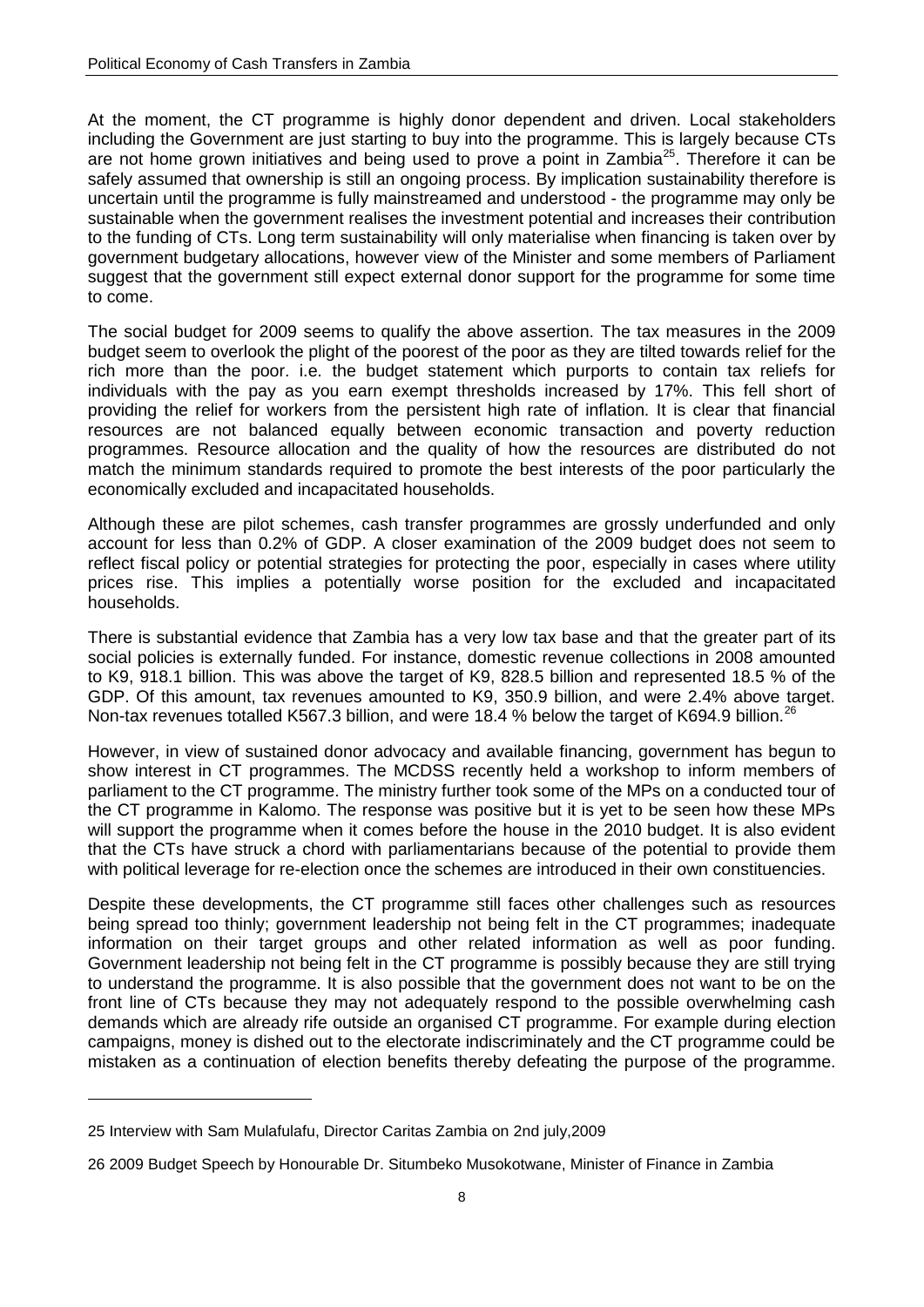At the moment, the CT programme is highly donor dependent and driven. Local stakeholders including the Government are just starting to buy into the programme. This is largely because CTs are not home grown initiatives and being used to prove a point in Zambia<sup>25</sup>. Therefore it can be safely assumed that ownership is still an ongoing process. By implication sustainability therefore is uncertain until the programme is fully mainstreamed and understood - the programme may only be sustainable when the government realises the investment potential and increases their contribution to the funding of CTs. Long term sustainability will only materialise when financing is taken over by government budgetary allocations, however view of the Minister and some members of Parliament suggest that the government still expect external donor support for the programme for some time to come.

The social budget for 2009 seems to qualify the above assertion. The tax measures in the 2009 budget seem to overlook the plight of the poorest of the poor as they are tilted towards relief for the rich more than the poor. i.e. the budget statement which purports to contain tax reliefs for individuals with the pay as you earn exempt thresholds increased by 17%. This fell short of providing the relief for workers from the persistent high rate of inflation. It is clear that financial resources are not balanced equally between economic transaction and poverty reduction programmes. Resource allocation and the quality of how the resources are distributed do not match the minimum standards required to promote the best interests of the poor particularly the economically excluded and incapacitated households.

Although these are pilot schemes, cash transfer programmes are grossly underfunded and only account for less than 0.2% of GDP. A closer examination of the 2009 budget does not seem to reflect fiscal policy or potential strategies for protecting the poor, especially in cases where utility prices rise. This implies a potentially worse position for the excluded and incapacitated households.

There is substantial evidence that Zambia has a very low tax base and that the greater part of its social policies is externally funded. For instance, domestic revenue collections in 2008 amounted to K9, 918.1 billion. This was above the target of K9, 828.5 billion and represented 18.5 % of the GDP. Of this amount, tax revenues amounted to K9, 350.9 billion, and were 2.4% above target. Non-tax revenues totalled K567.3 billion, and were 18.4 % below the target of K694.9 billion.<sup>26</sup>

However, in view of sustained donor advocacy and available financing, government has begun to show interest in CT programmes. The MCDSS recently held a workshop to inform members of parliament to the CT programme. The ministry further took some of the MPs on a conducted tour of the CT programme in Kalomo. The response was positive but it is yet to be seen how these MPs will support the programme when it comes before the house in the 2010 budget. It is also evident that the CTs have struck a chord with parliamentarians because of the potential to provide them with political leverage for re-election once the schemes are introduced in their own constituencies.

Despite these developments, the CT programme still faces other challenges such as resources being spread too thinly; government leadership not being felt in the CT programmes; inadequate information on their target groups and other related information as well as poor funding. Government leadership not being felt in the CT programme is possibly because they are still trying to understand the programme. It is also possible that the government does not want to be on the front line of CTs because they may not adequately respond to the possible overwhelming cash demands which are already rife outside an organised CT programme. For example during election campaigns, money is dished out to the electorate indiscriminately and the CT programme could be mistaken as a continuation of election benefits thereby defeating the purpose of the programme.

<sup>25</sup> Interview with Sam Mulafulafu, Director Caritas Zambia on 2nd july,2009

<sup>26</sup> 2009 Budget Speech by Honourable Dr. Situmbeko Musokotwane, Minister of Finance in Zambia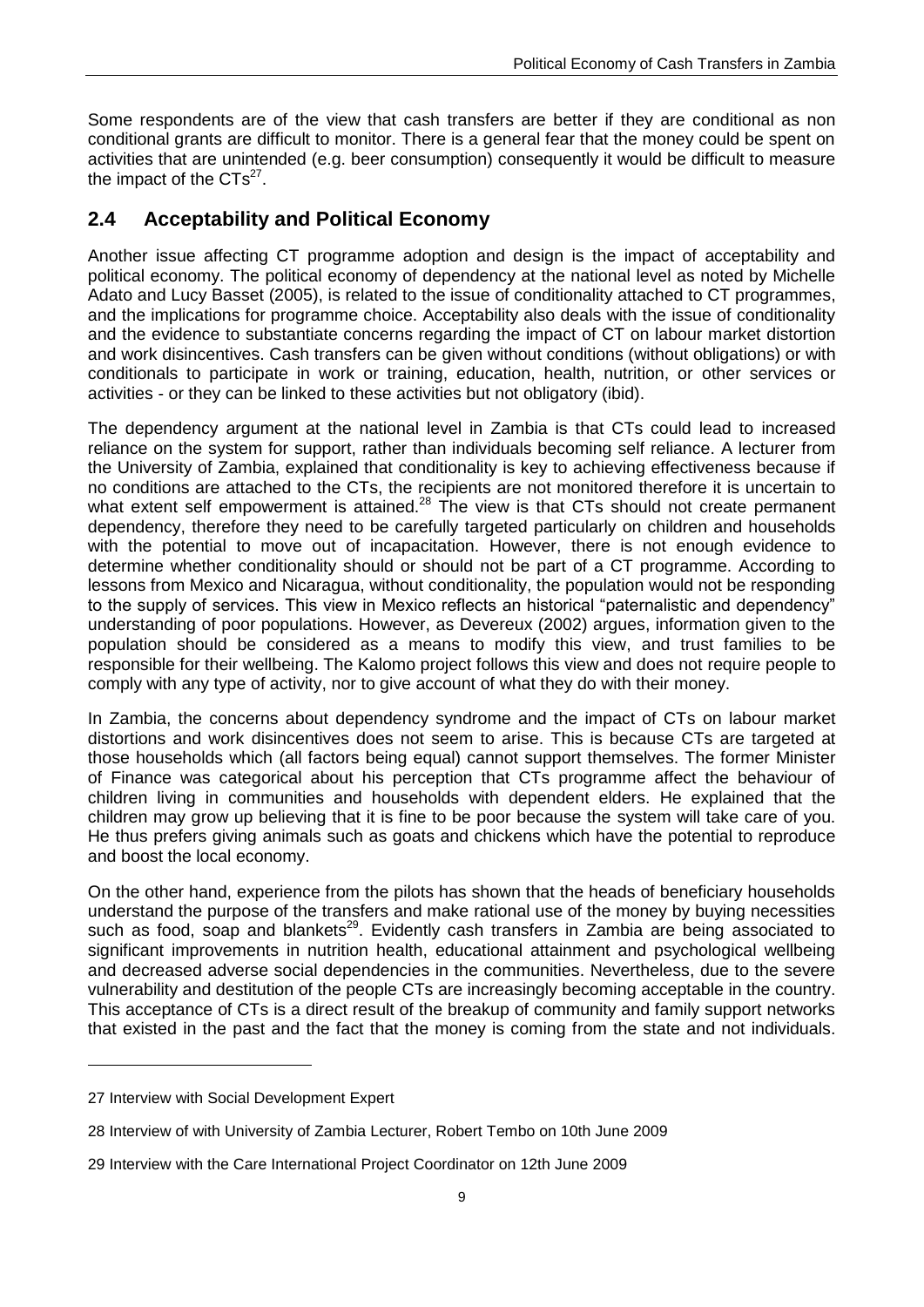Some respondents are of the view that cash transfers are better if they are conditional as non conditional grants are difficult to monitor. There is a general fear that the money could be spent on activities that are unintended (e.g. beer consumption) consequently it would be difficult to measure the impact of the  $CTs^{27}$ .

### <span id="page-14-0"></span>**2.4 Acceptability and Political Economy**

Another issue affecting CT programme adoption and design is the impact of acceptability and political economy. The political economy of dependency at the national level as noted by Michelle Adato and Lucy Basset (2005), is related to the issue of conditionality attached to CT programmes, and the implications for programme choice. Acceptability also deals with the issue of conditionality and the evidence to substantiate concerns regarding the impact of CT on labour market distortion and work disincentives. Cash transfers can be given without conditions (without obligations) or with conditionals to participate in work or training, education, health, nutrition, or other services or activities - or they can be linked to these activities but not obligatory (ibid).

The dependency argument at the national level in Zambia is that CTs could lead to increased reliance on the system for support, rather than individuals becoming self reliance. A lecturer from the University of Zambia, explained that conditionality is key to achieving effectiveness because if no conditions are attached to the CTs, the recipients are not monitored therefore it is uncertain to what extent self empowerment is attained.<sup>28</sup> The view is that CTs should not create permanent dependency, therefore they need to be carefully targeted particularly on children and households with the potential to move out of incapacitation. However, there is not enough evidence to determine whether conditionality should or should not be part of a CT programme. According to lessons from Mexico and Nicaragua, without conditionality, the population would not be responding to the supply of services. This view in Mexico reflects an historical "paternalistic and dependency" understanding of poor populations. However, as Devereux (2002) argues, information given to the population should be considered as a means to modify this view, and trust families to be responsible for their wellbeing. The Kalomo project follows this view and does not require people to comply with any type of activity, nor to give account of what they do with their money.

In Zambia, the concerns about dependency syndrome and the impact of CTs on labour market distortions and work disincentives does not seem to arise. This is because CTs are targeted at those households which (all factors being equal) cannot support themselves. The former Minister of Finance was categorical about his perception that CTs programme affect the behaviour of children living in communities and households with dependent elders. He explained that the children may grow up believing that it is fine to be poor because the system will take care of you. He thus prefers giving animals such as goats and chickens which have the potential to reproduce and boost the local economy.

On the other hand, experience from the pilots has shown that the heads of beneficiary households understand the purpose of the transfers and make rational use of the money by buying necessities such as food, soap and blankets<sup>29</sup>. Evidently cash transfers in Zambia are being associated to significant improvements in nutrition health, educational attainment and psychological wellbeing and decreased adverse social dependencies in the communities. Nevertheless, due to the severe vulnerability and destitution of the people CTs are increasingly becoming acceptable in the country. This acceptance of CTs is a direct result of the breakup of community and family support networks that existed in the past and the fact that the money is coming from the state and not individuals.

<sup>27</sup> Interview with Social Development Expert

<sup>28</sup> Interview of with University of Zambia Lecturer, Robert Tembo on 10th June 2009

<sup>29</sup> Interview with the Care International Project Coordinator on 12th June 2009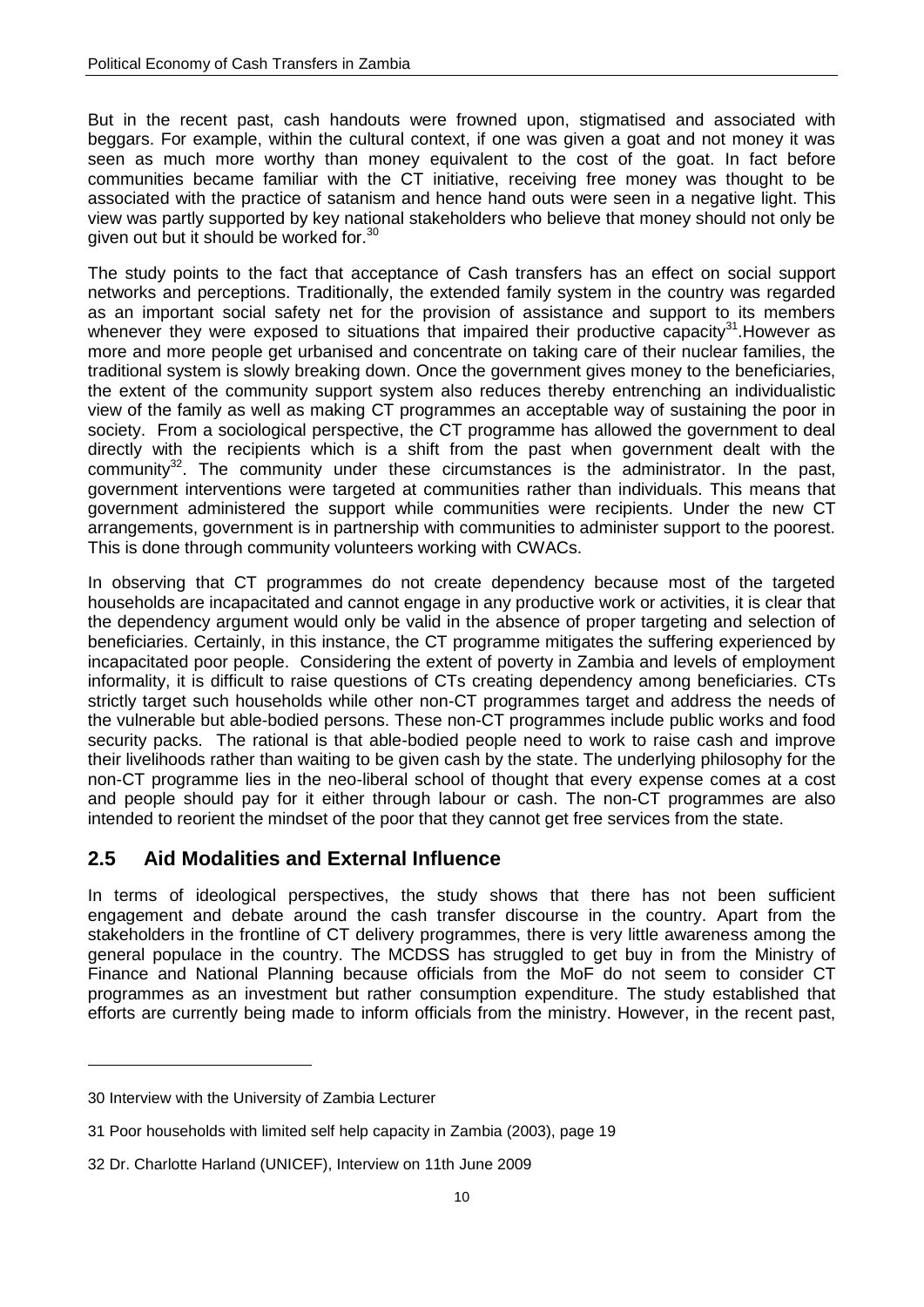But in the recent past, cash handouts were frowned upon, stigmatised and associated with beggars. For example, within the cultural context, if one was given a goat and not money it was seen as much more worthy than money equivalent to the cost of the goat. In fact before communities became familiar with the CT initiative, receiving free money was thought to be associated with the practice of satanism and hence hand outs were seen in a negative light. This view was partly supported by key national stakeholders who believe that money should not only be given out but it should be worked for.<sup>30</sup>

The study points to the fact that acceptance of Cash transfers has an effect on social support networks and perceptions. Traditionally, the extended family system in the country was regarded as an important social safety net for the provision of assistance and support to its members whenever they were exposed to situations that impaired their productive capacity $31$ . However as more and more people get urbanised and concentrate on taking care of their nuclear families, the traditional system is slowly breaking down. Once the government gives money to the beneficiaries, the extent of the community support system also reduces thereby entrenching an individualistic view of the family as well as making CT programmes an acceptable way of sustaining the poor in society. From a sociological perspective, the CT programme has allowed the government to deal directly with the recipients which is a shift from the past when government dealt with the community $32$ . The community under these circumstances is the administrator. In the past, government interventions were targeted at communities rather than individuals. This means that government administered the support while communities were recipients. Under the new CT arrangements, government is in partnership with communities to administer support to the poorest. This is done through community volunteers working with CWACs.

In observing that CT programmes do not create dependency because most of the targeted households are incapacitated and cannot engage in any productive work or activities, it is clear that the dependency argument would only be valid in the absence of proper targeting and selection of beneficiaries. Certainly, in this instance, the CT programme mitigates the suffering experienced by incapacitated poor people. Considering the extent of poverty in Zambia and levels of employment informality, it is difficult to raise questions of CTs creating dependency among beneficiaries. CTs strictly target such households while other non-CT programmes target and address the needs of the vulnerable but able-bodied persons. These non-CT programmes include public works and food security packs. The rational is that able-bodied people need to work to raise cash and improve their livelihoods rather than waiting to be given cash by the state. The underlying philosophy for the non-CT programme lies in the neo-liberal school of thought that every expense comes at a cost and people should pay for it either through labour or cash. The non-CT programmes are also intended to reorient the mindset of the poor that they cannot get free services from the state.

### <span id="page-15-0"></span>**2.5 Aid Modalities and External Influence**

In terms of ideological perspectives, the study shows that there has not been sufficient engagement and debate around the cash transfer discourse in the country. Apart from the stakeholders in the frontline of CT delivery programmes, there is very little awareness among the general populace in the country. The MCDSS has struggled to get buy in from the Ministry of Finance and National Planning because officials from the MoF do not seem to consider CT programmes as an investment but rather consumption expenditure. The study established that efforts are currently being made to inform officials from the ministry. However, in the recent past,

<sup>30</sup> Interview with the University of Zambia Lecturer

<sup>31</sup> Poor households with limited self help capacity in Zambia (2003), page 19

<sup>32</sup> Dr. Charlotte Harland (UNICEF), Interview on 11th June 2009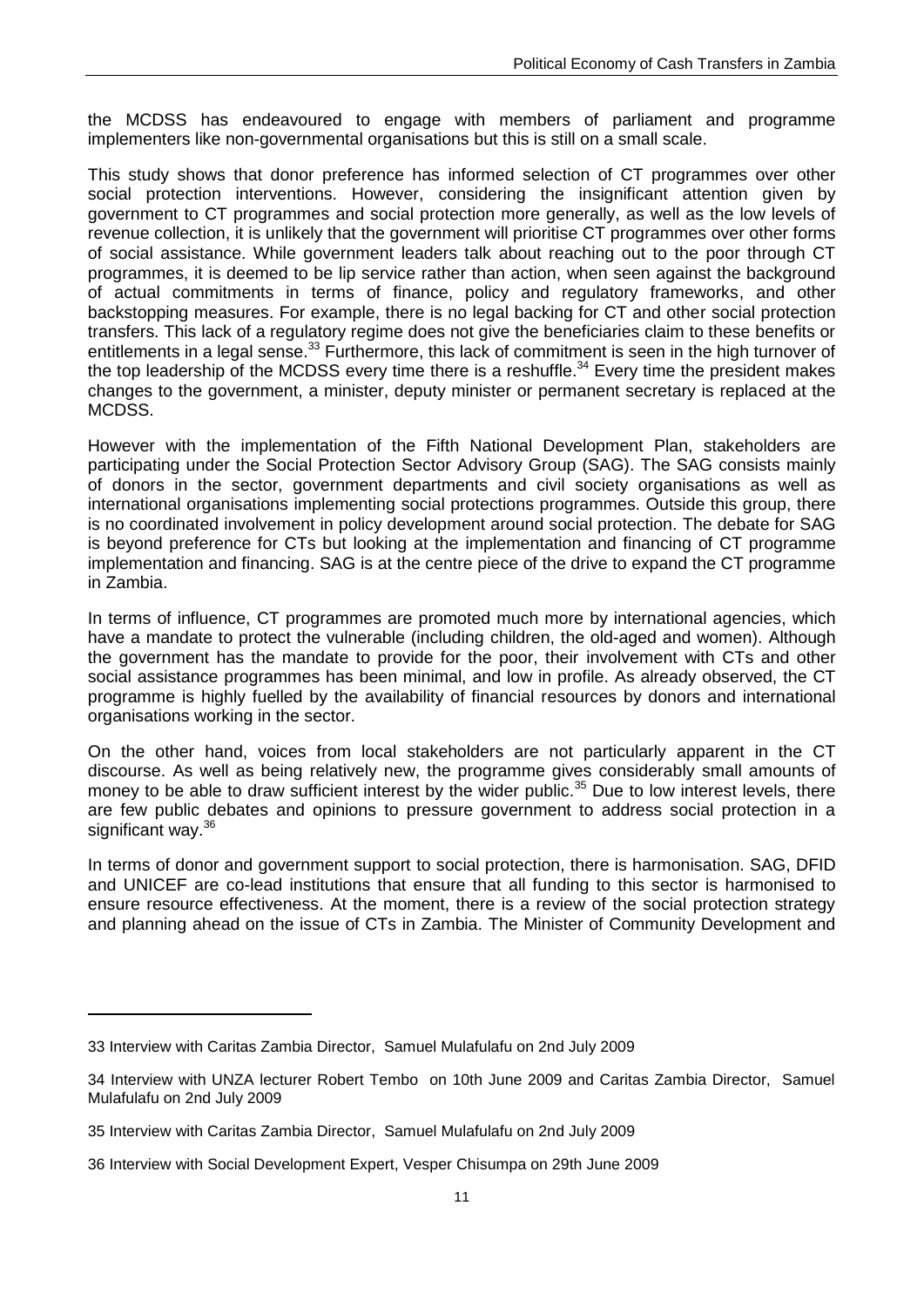the MCDSS has endeavoured to engage with members of parliament and programme implementers like non-governmental organisations but this is still on a small scale.

This study shows that donor preference has informed selection of CT programmes over other social protection interventions. However, considering the insignificant attention given by government to CT programmes and social protection more generally, as well as the low levels of revenue collection, it is unlikely that the government will prioritise CT programmes over other forms of social assistance. While government leaders talk about reaching out to the poor through CT programmes, it is deemed to be lip service rather than action, when seen against the background of actual commitments in terms of finance, policy and regulatory frameworks, and other backstopping measures. For example, there is no legal backing for CT and other social protection transfers. This lack of a regulatory regime does not give the beneficiaries claim to these benefits or entitlements in a legal sense.<sup>33</sup> Furthermore, this lack of commitment is seen in the high turnover of the top leadership of the MCDSS every time there is a reshuffle.<sup>34</sup> Every time the president makes changes to the government, a minister, deputy minister or permanent secretary is replaced at the MCDSS.

However with the implementation of the Fifth National Development Plan, stakeholders are participating under the Social Protection Sector Advisory Group (SAG). The SAG consists mainly of donors in the sector, government departments and civil society organisations as well as international organisations implementing social protections programmes. Outside this group, there is no coordinated involvement in policy development around social protection. The debate for SAG is beyond preference for CTs but looking at the implementation and financing of CT programme implementation and financing. SAG is at the centre piece of the drive to expand the CT programme in Zambia.

In terms of influence, CT programmes are promoted much more by international agencies, which have a mandate to protect the vulnerable (including children, the old-aged and women). Although the government has the mandate to provide for the poor, their involvement with CTs and other social assistance programmes has been minimal, and low in profile. As already observed, the CT programme is highly fuelled by the availability of financial resources by donors and international organisations working in the sector.

On the other hand, voices from local stakeholders are not particularly apparent in the CT discourse. As well as being relatively new, the programme gives considerably small amounts of money to be able to draw sufficient interest by the wider public.<sup>35</sup> Due to low interest levels, there are few public debates and opinions to pressure government to address social protection in a significant way.<sup>36</sup>

In terms of donor and government support to social protection, there is harmonisation. SAG, DFID and UNICEF are co-lead institutions that ensure that all funding to this sector is harmonised to ensure resource effectiveness. At the moment, there is a review of the social protection strategy and planning ahead on the issue of CTs in Zambia. The Minister of Community Development and

<sup>33</sup> Interview with Caritas Zambia Director, Samuel Mulafulafu on 2nd July 2009

<sup>34</sup> Interview with UNZA lecturer Robert Tembo on 10th June 2009 and Caritas Zambia Director, Samuel Mulafulafu on 2nd July 2009

<sup>35</sup> Interview with Caritas Zambia Director, Samuel Mulafulafu on 2nd July 2009

<sup>36</sup> Interview with Social Development Expert, Vesper Chisumpa on 29th June 2009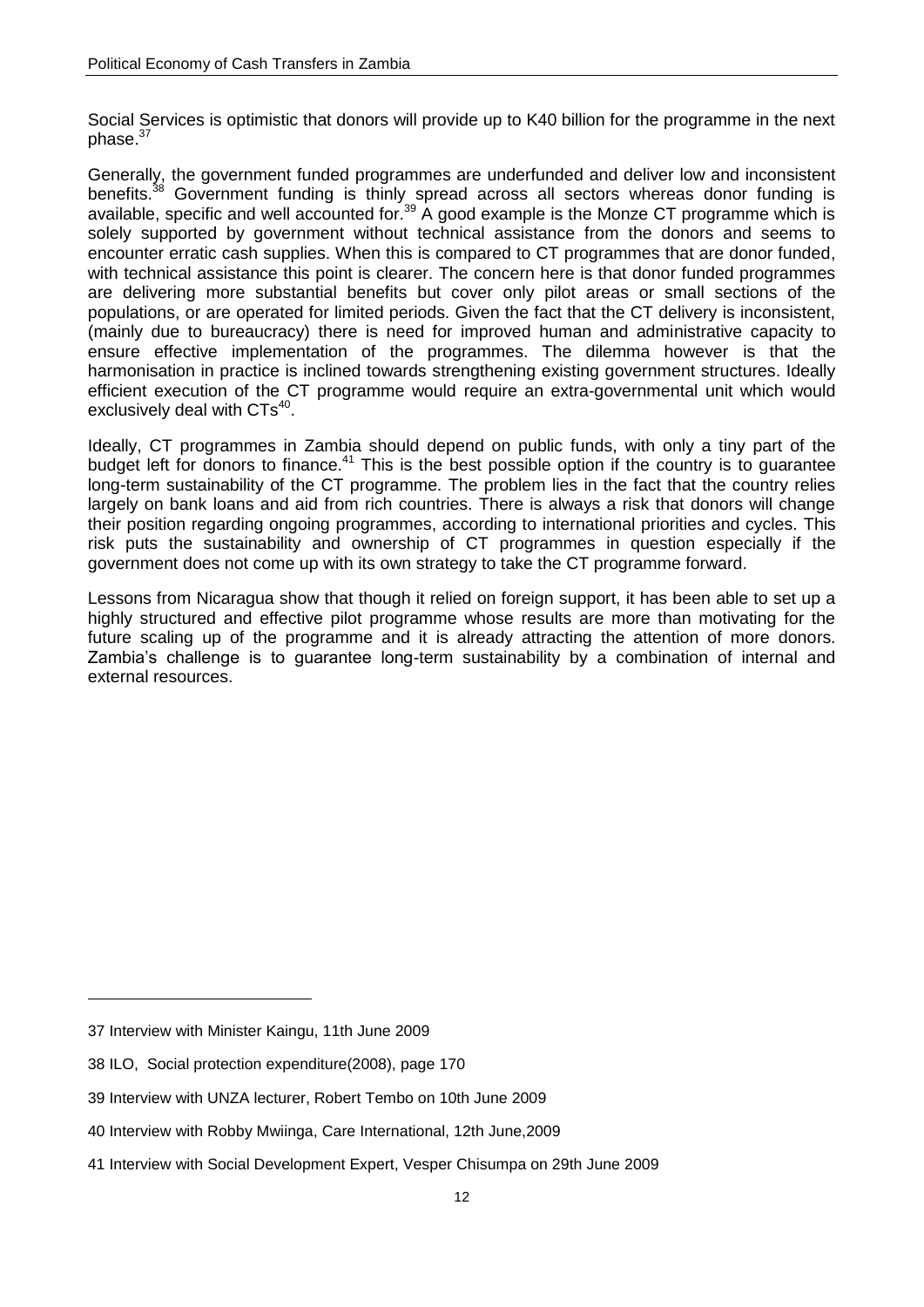Social Services is optimistic that donors will provide up to K40 billion for the programme in the next phase.<sup>37</sup>

Generally, the government funded programmes are underfunded and deliver low and inconsistent benefits.<sup>38</sup> Government funding is thinly spread across all sectors whereas donor funding is available, specific and well accounted for.<sup>39</sup> A good example is the Monze CT programme which is solely supported by government without technical assistance from the donors and seems to encounter erratic cash supplies. When this is compared to CT programmes that are donor funded, with technical assistance this point is clearer. The concern here is that donor funded programmes are delivering more substantial benefits but cover only pilot areas or small sections of the populations, or are operated for limited periods. Given the fact that the CT delivery is inconsistent, (mainly due to bureaucracy) there is need for improved human and administrative capacity to ensure effective implementation of the programmes. The dilemma however is that the harmonisation in practice is inclined towards strengthening existing government structures. Ideally efficient execution of the CT programme would require an extra-governmental unit which would exclusively deal with  $CTs^{40}$ .

Ideally, CT programmes in Zambia should depend on public funds, with only a tiny part of the budget left for donors to finance.<sup>41</sup> This is the best possible option if the country is to guarantee long-term sustainability of the CT programme. The problem lies in the fact that the country relies largely on bank loans and aid from rich countries. There is always a risk that donors will change their position regarding ongoing programmes, according to international priorities and cycles. This risk puts the sustainability and ownership of CT programmes in question especially if the government does not come up with its own strategy to take the CT programme forward.

Lessons from Nicaragua show that though it relied on foreign support, it has been able to set up a highly structured and effective pilot programme whose results are more than motivating for the future scaling up of the programme and it is already attracting the attention of more donors. Zambia's challenge is to guarantee long-term sustainability by a combination of internal and external resources.

<sup>37</sup> Interview with Minister Kaingu, 11th June 2009

<sup>38</sup> ILO, Social protection expenditure(2008), page 170

<sup>39</sup> Interview with UNZA lecturer, Robert Tembo on 10th June 2009

<sup>40</sup> Interview with Robby Mwiinga, Care International, 12th June,2009

<sup>41</sup> Interview with Social Development Expert, Vesper Chisumpa on 29th June 2009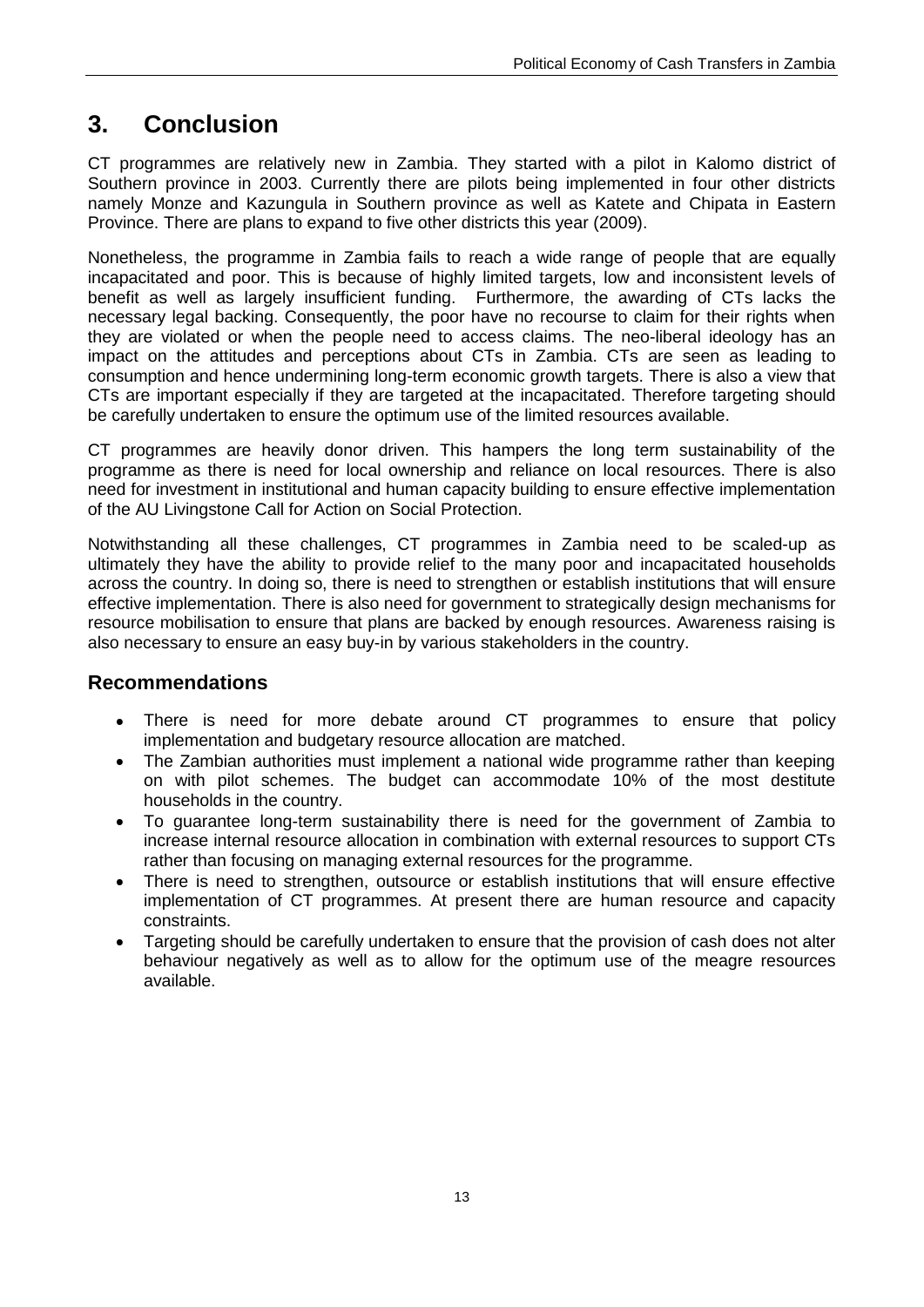### <span id="page-18-0"></span>**3. Conclusion**

CT programmes are relatively new in Zambia. They started with a pilot in Kalomo district of Southern province in 2003. Currently there are pilots being implemented in four other districts namely Monze and Kazungula in Southern province as well as Katete and Chipata in Eastern Province. There are plans to expand to five other districts this year (2009).

Nonetheless, the programme in Zambia fails to reach a wide range of people that are equally incapacitated and poor. This is because of highly limited targets, low and inconsistent levels of benefit as well as largely insufficient funding. Furthermore, the awarding of CTs lacks the necessary legal backing. Consequently, the poor have no recourse to claim for their rights when they are violated or when the people need to access claims. The neo-liberal ideology has an impact on the attitudes and perceptions about CTs in Zambia. CTs are seen as leading to consumption and hence undermining long-term economic growth targets. There is also a view that CTs are important especially if they are targeted at the incapacitated. Therefore targeting should be carefully undertaken to ensure the optimum use of the limited resources available.

CT programmes are heavily donor driven. This hampers the long term sustainability of the programme as there is need for local ownership and reliance on local resources. There is also need for investment in institutional and human capacity building to ensure effective implementation of the AU Livingstone Call for Action on Social Protection.

Notwithstanding all these challenges, CT programmes in Zambia need to be scaled-up as ultimately they have the ability to provide relief to the many poor and incapacitated households across the country. In doing so, there is need to strengthen or establish institutions that will ensure effective implementation. There is also need for government to strategically design mechanisms for resource mobilisation to ensure that plans are backed by enough resources. Awareness raising is also necessary to ensure an easy buy-in by various stakeholders in the country.

#### **Recommendations**

- <span id="page-18-1"></span>There is need for more debate around CT programmes to ensure that policy implementation and budgetary resource allocation are matched.
- The Zambian authorities must implement a national wide programme rather than keeping  $\bullet$ on with pilot schemes. The budget can accommodate 10% of the most destitute households in the country.
- To guarantee long-term sustainability there is need for the government of Zambia to  $\bullet$ increase internal resource allocation in combination with external resources to support CTs rather than focusing on managing external resources for the programme.
- There is need to strengthen, outsource or establish institutions that will ensure effective  $\bullet$ implementation of CT programmes. At present there are human resource and capacity constraints.
- Targeting should be carefully undertaken to ensure that the provision of cash does not alter  $\bullet$ behaviour negatively as well as to allow for the optimum use of the meagre resources available.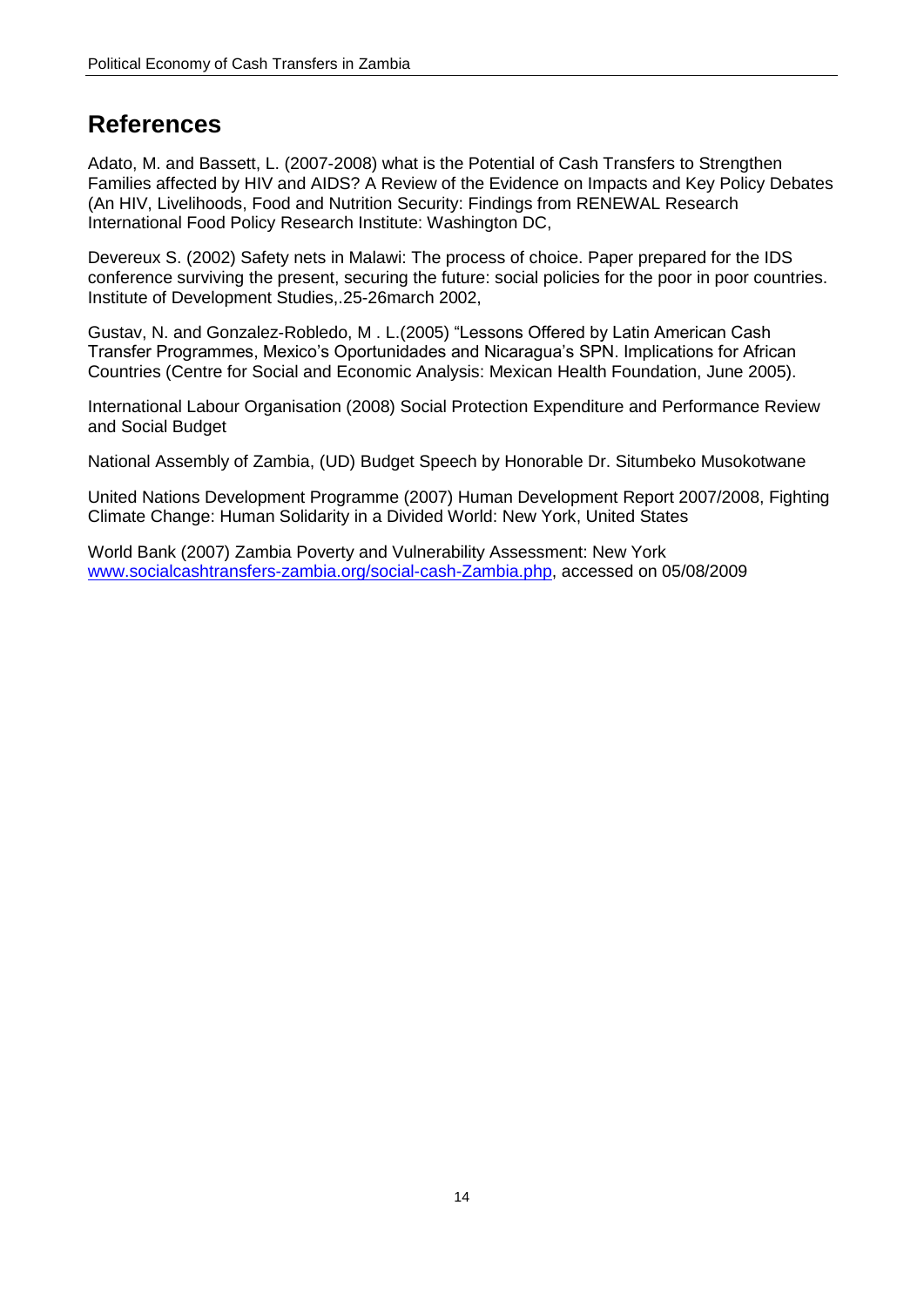### <span id="page-19-0"></span>**References**

Adato, M. and Bassett, L. (2007-2008) what is the Potential of Cash Transfers to Strengthen Families affected by HIV and AIDS? A Review of the Evidence on Impacts and Key Policy Debates (An HIV, Livelihoods, Food and Nutrition Security: Findings from RENEWAL Research International Food Policy Research Institute: Washington DC,

Devereux S. (2002) Safety nets in Malawi: The process of choice. Paper prepared for the IDS conference surviving the present, securing the future: social policies for the poor in poor countries. Institute of Development Studies,.25-26march 2002,

Gustav, N. and Gonzalez-Robledo, M . L.(2005) "Lessons Offered by Latin American Cash Transfer Programmes, Mexico's Oportunidades and Nicaragua's SPN. Implications for African Countries (Centre for Social and Economic Analysis: Mexican Health Foundation, June 2005).

International Labour Organisation (2008) Social Protection Expenditure and Performance Review and Social Budget

National Assembly of Zambia, (UD) Budget Speech by Honorable Dr. Situmbeko Musokotwane

United Nations Development Programme (2007) Human Development Report 2007/2008, Fighting Climate Change: Human Solidarity in a Divided World: New York, United States

World Bank (2007) Zambia Poverty and Vulnerability Assessment: New York [www.socialcashtransfers-zambia.org/social-cash-Zambia.php,](http://www.socialcashtransfers-zambia.org/social-cash-Zambia.php) accessed on 05/08/2009